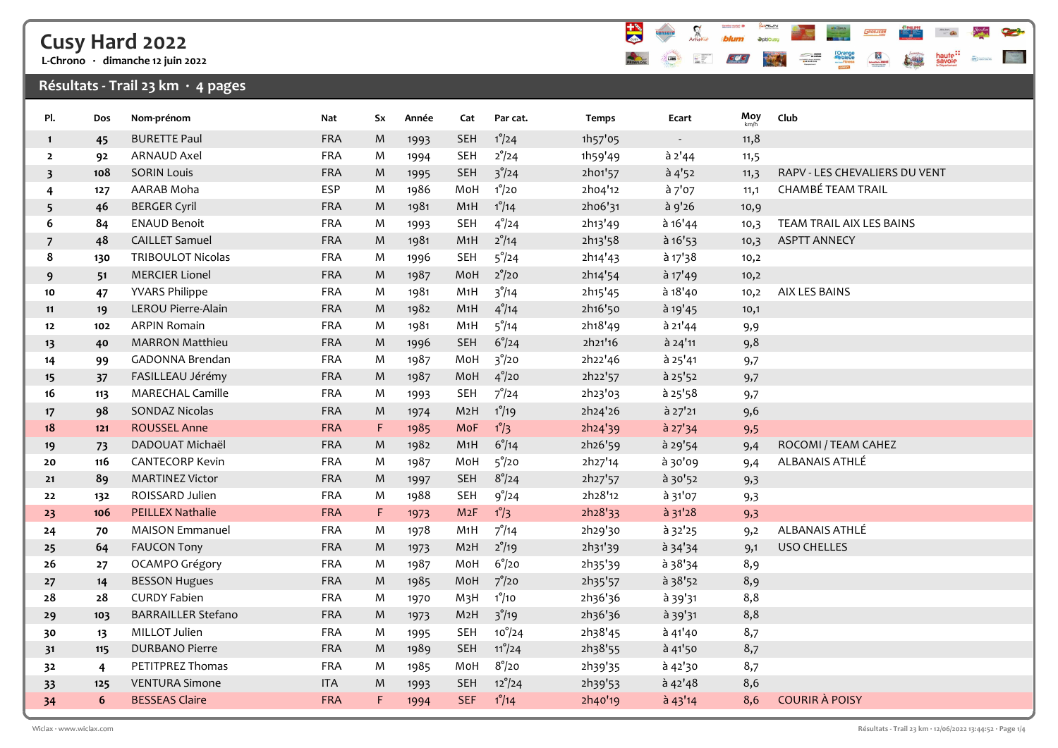# Cusy Hard 2022

L-Chrono · dimanche 12 juin 2022

### Résultats - Trail 23 km  $\cdot$  4 pages



| Pl.                     | Dos | Nom-prénom                | Nat        | Sx          | Année | Cat              | Par cat.         | <b>Temps</b> | Ecart                    | Moy  | Club                          |
|-------------------------|-----|---------------------------|------------|-------------|-------|------------------|------------------|--------------|--------------------------|------|-------------------------------|
| $\mathbf{1}$            | 45  | <b>BURETTE Paul</b>       | <b>FRA</b> | M           | 1993  | SEH              | $1^{\circ}/24$   | 1h57'05      | $\overline{\phantom{a}}$ | 11,8 |                               |
| $\mathbf{2}$            | 92  | <b>ARNAUD Axel</b>        | <b>FRA</b> | M           | 1994  | <b>SEH</b>       | $2^{\circ}/24$   | 1h59'49      | $a$ 2'44                 | 11,5 |                               |
| $\overline{\mathbf{3}}$ | 108 | <b>SORIN Louis</b>        | <b>FRA</b> | M           | 1995  | <b>SEH</b>       | $3^{\degree}/24$ | 2h01'57      | a <sup>1</sup> 52        | 11,3 | RAPV - LES CHEVALIERS DU VENT |
| 4                       | 127 | AARAB Moha                | <b>ESP</b> | M           | 1986  | MoH              | $1^{\circ}/20$   | 2h04'12      | à 7'07                   | 11,1 | CHAMBÉ TEAM TRAIL             |
| 5                       | 46  | <b>BERGER Cyril</b>       | <b>FRA</b> | M           | 1981  | M1H              | $1^{\circ}/14$   | 2h06'31      | à 9'26                   | 10,9 |                               |
| 6                       | 84  | <b>ENAUD Benoit</b>       | <b>FRA</b> | M           | 1993  | <b>SEH</b>       | $4^{\degree}/24$ | 2h13'49      | à 16'44                  | 10,3 | TEAM TRAIL AIX LES BAINS      |
| $\overline{7}$          | 48  | <b>CAILLET Samuel</b>     | <b>FRA</b> | M           | 1981  | M1H              | $2^{\circ}/14$   | 2h13'58      | $\hat{a}$ 16'53          | 10,3 | <b>ASPTT ANNECY</b>           |
| 8                       | 130 | <b>TRIBOULOT Nicolas</b>  | <b>FRA</b> | M           | 1996  | <b>SEH</b>       | $5^{\circ}/24$   | 2h14'43      | $a$ 17 $38$              | 10,2 |                               |
| 9                       | 51  | <b>MERCIER Lionel</b>     | <b>FRA</b> | M           | 1987  | MoH              | $2^{\circ}/20$   | 2h14'54      | à 17'49                  | 10,2 |                               |
| 10                      | 47  | <b>YVARS Philippe</b>     | <b>FRA</b> | M           | 1981  | M1H              | $3^{\degree}/14$ | 2h15'45      | à 18'40                  | 10,2 | AIX LES BAINS                 |
| 11                      | 19  | LEROU Pierre-Alain        | <b>FRA</b> | M           | 1982  | M1H              | $4^{\circ}/14$   | 2h16'50      | à 19'45                  | 10,1 |                               |
| 12                      | 102 | <b>ARPIN Romain</b>       | <b>FRA</b> | M           | 1981  | M1H              | $5^{\degree}/14$ | 2h18'49      | $a$ 21'44                | 9,9  |                               |
| 13                      | 40  | <b>MARRON Matthieu</b>    | <b>FRA</b> | M           | 1996  | <b>SEH</b>       | $6^{\circ}/24$   | 2h21'16      | à 24'11                  | 9,8  |                               |
| 14                      | 99  | GADONNA Brendan           | <b>FRA</b> | M           | 1987  | MoH              | $3^{\degree}/20$ | 2h22'46      | à 25'41                  | 9,7  |                               |
| 15                      | 37  | FASILLEAU Jérémy          | <b>FRA</b> | M           | 1987  | MoH              | $4^{\circ}/20$   | 2h22'57      | $a$ 25'52                | 9,7  |                               |
| 16                      | 113 | <b>MARECHAL Camille</b>   | <b>FRA</b> | M           | 1993  | <b>SEH</b>       | $7^\circ/24$     | 2h23'03      | à 25'58                  | 9,7  |                               |
| 17                      | 98  | <b>SONDAZ Nicolas</b>     | FRA        | M           | 1974  | M <sub>2</sub> H | $1^{\circ}/19$   | 2h24'26      | à 27'21                  | 9,6  |                               |
| 18                      | 121 | <b>ROUSSEL Anne</b>       | <b>FRA</b> | $\mathsf F$ | 1985  | MoF              | $1^{\circ}/3$    | 2h24'39      | $a$ 27'34                | 9,5  |                               |
| 19                      | 73  | DADOUAT Michaël           | <b>FRA</b> | M           | 1982  | M1H              | $6^{\circ}/14$   | 2h26'59      | à 29'54                  | 9,4  | ROCOMI / TEAM CAHEZ           |
| 20                      | 116 | <b>CANTECORP Kevin</b>    | <b>FRA</b> | M           | 1987  | MoH              | $5^{\circ}/20$   | 2h27'14      | à 30'09                  | 9,4  | ALBANAIS ATHLÉ                |
| 21                      | 89  | <b>MARTINEZ Victor</b>    | <b>FRA</b> | M           | 1997  | <b>SEH</b>       | $8^\circ/24$     | 2h27'57      | à 30'52                  | 9,3  |                               |
| 22                      | 132 | ROISSARD Julien           | <b>FRA</b> | M           | 1988  | <b>SEH</b>       | 9°/24            | 2h28'12      | à 31'07                  | 9,3  |                               |
| 23                      | 106 | <b>PEILLEX Nathalie</b>   | <b>FRA</b> | F           | 1973  | M2F              | $1^{\circ}/3$    | 2h28'33      | $a$ 31'28                | 9,3  |                               |
| 24                      | 70  | <b>MAISON Emmanuel</b>    | <b>FRA</b> | M           | 1978  | M1H              | $7^{\circ}/14$   | 2h29'30      | à 32'25                  | 9,2  | ALBANAIS ATHLÉ                |
| 25                      | 64  | <b>FAUCON Tony</b>        | <b>FRA</b> | M           | 1973  | M2H              | $2^{\circ}/19$   | 2h31'39      | à 34'34                  | 9,1  | <b>USO CHELLES</b>            |
| 26                      | 27  | OCAMPO Grégory            | <b>FRA</b> | M           | 1987  | MoH              | $6^{\circ}/20$   | 2h35'39      | à 38'34                  | 8,9  |                               |
| 27                      | 14  | <b>BESSON Hugues</b>      | <b>FRA</b> | M           | 1985  | MoH              | $7^{\circ}/20$   | 2h35'57      | à 38'52                  | 8,9  |                               |
| 28                      | 28  | <b>CURDY Fabien</b>       | <b>FRA</b> | M           | 1970  | M <sub>3</sub> H | $1^\circ/10$     | 2h36'36      | à 39'31                  | 8,8  |                               |
| 29                      | 103 | <b>BARRAILLER Stefano</b> | <b>FRA</b> | M           | 1973  | M <sub>2</sub> H | $3^{\degree}/19$ | 2h36'36      | à 39'31                  | 8,8  |                               |
| 30                      | 13  | MILLOT Julien             | <b>FRA</b> | M           | 1995  | <b>SEH</b>       | $10^{\circ}/24$  | 2h38'45      | à 41'40                  | 8,7  |                               |
| 31                      | 115 | <b>DURBANO Pierre</b>     | <b>FRA</b> | M           | 1989  | SEH              | $11^{\circ}/24$  | 2h38'55      | à 41'50                  | 8,7  |                               |
| 32                      | 4   | PETITPREZ Thomas          | <b>FRA</b> | M           | 1985  | MoH              | $8^{\circ}/20$   | 2h39'35      | à 42'30                  | 8,7  |                               |
| 33                      | 125 | <b>VENTURA Simone</b>     | <b>ITA</b> | M           | 1993  | <b>SEH</b>       | $12^{\circ}/24$  | 2h39'53      | à 42'48                  | 8,6  |                               |
| 34                      | 6   | <b>BESSEAS Claire</b>     | FRA        | F           | 1994  | <b>SEF</b>       | $1^{\circ}/14$   | 2h40'19      | $a$ 43'14                | 8,6  | <b>COURIR À POISY</b>         |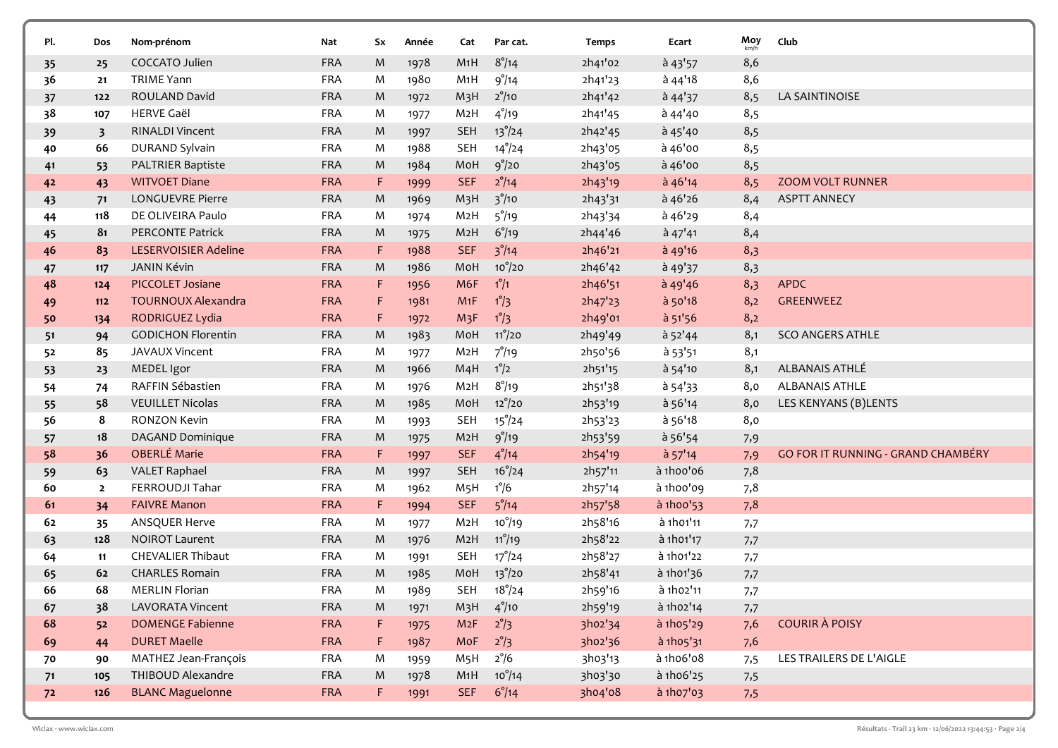| Pl. | Dos                     | Nom-prénom                  | Nat        | Sx | Année | Cat              | Par cat.           | <b>Temps</b> | Ecart           | Moy<br>km/h | Club                               |
|-----|-------------------------|-----------------------------|------------|----|-------|------------------|--------------------|--------------|-----------------|-------------|------------------------------------|
| 35  | 25                      | COCCATO Julien              | <b>FRA</b> | M  | 1978  | M1H              | $8^{\circ}/14$     | 2h41'02      | $\hat{a}$ 43'57 | 8,6         |                                    |
| 36  | 21                      | <b>TRIME Yann</b>           | <b>FRA</b> | M  | 1980  | M1H              | 9°/14              | 2h41'23      | $a$ 44'18       | 8,6         |                                    |
| 37  | 122                     | ROULAND David               | <b>FRA</b> | M  | 1972  | M <sub>3</sub> H | $2^{\circ}/10$     | 2h41'42      | $a$ 44'37       | 8,5         | LA SAINTINOISE                     |
| 38  | 107                     | <b>HERVE Gaël</b>           | <b>FRA</b> | M  | 1977  | M <sub>2</sub> H | $4^{\circ}/19$     | 2h41'45      | à 44'40         | 8,5         |                                    |
| 39  | $\overline{\mathbf{3}}$ | <b>RINALDI Vincent</b>      | <b>FRA</b> | M  | 1997  | <b>SEH</b>       | $13^{\circ}/24$    | 2h42'45      | à 45'40         | 8,5         |                                    |
| 40  | 66                      | DURAND Sylvain              | <b>FRA</b> | M  | 1988  | <b>SEH</b>       | $14^{\circ}/24$    | 2h43'05      | à 46'00         | 8,5         |                                    |
| 41  | 53                      | PALTRIER Baptiste           | <b>FRA</b> | M  | 1984  | MoH              | 9°/20              | 2h43'05      | à 46'00         | 8,5         |                                    |
| 42  | 43                      | <b>WITVOET Diane</b>        | <b>FRA</b> | F. | 1999  | <b>SEF</b>       | $2^{\circ}/14$     | 2h43'19      | à 46'14         | 8,5         | <b>ZOOM VOLT RUNNER</b>            |
| 43  | 71                      | LONGUEVRE Pierre            | <b>FRA</b> | M  | 1969  | M <sub>3</sub> H | 3 <sup>°</sup> /10 | 2h43'31      | à 46'26         | 8,4         | <b>ASPTT ANNECY</b>                |
| 44  | 118                     | DE OLIVEIRA Paulo           | FRA        | M  | 1974  | M <sub>2</sub> H | $5^{\circ}/19$     | 2h43'34      | à 46'29         | 8,4         |                                    |
| 45  | 81                      | PERCONTE Patrick            | <b>FRA</b> | M  | 1975  | M <sub>2</sub> H | $6^{\circ}/19$     | 2h44'46      | $a$ 47'41       | 8,4         |                                    |
| 46  | 83                      | <b>LESERVOISIER Adeline</b> | <b>FRA</b> | F  | 1988  | <b>SEF</b>       | 3°/14              | 2h46'21      | à 49'16         | 8,3         |                                    |
| 47  | 117                     | <b>JANIN Kévin</b>          | <b>FRA</b> | M  | 1986  | MoH              | $10^{\circ}/20$    | 2h46'42      | à 49'37         | 8,3         |                                    |
| 48  | 124                     | PICCOLET Josiane            | <b>FRA</b> | F  | 1956  | M6F              | $1^{\circ}/1$      | 2h46'51      | à 49'46         | 8,3         | <b>APDC</b>                        |
| 49  | $112$                   | <b>TOURNOUX Alexandra</b>   | <b>FRA</b> | F  | 1981  | M1F              | $1^{\circ}/3$      | 2h47'23      | à 50'18         | 8,2         | GREENWEEZ                          |
| 50  | 134                     | RODRIGUEZ Lydia             | <b>FRA</b> | F. | 1972  | M <sub>3</sub> F | $1^{\circ}/3$      | 2h49'01      | $a$ 51'56       | 8,2         |                                    |
| 51  | 94                      | <b>GODICHON Florentin</b>   | <b>FRA</b> | M  | 1983  | MoH              | $11^{\circ}/20$    | 2h49'49      | à 52'44         | 8,1         | <b>SCO ANGERS ATHLE</b>            |
| 52  | 85                      | JAVAUX Vincent              | FRA        | M  | 1977  | M2H              | $7^{\circ}/19$     | 2h50'56      | à 53'51         | 8,1         |                                    |
| 53  | 23                      | MEDEL Igor                  | <b>FRA</b> | M  | 1966  | M4H              | $1^{\circ}/2$      | 2h51'15      | à 54'10         | 8,1         | ALBANAIS ATHLÉ                     |
| 54  | 74                      | RAFFIN Sébastien            | <b>FRA</b> | M  | 1976  | M <sub>2</sub> H | $8^{\circ}/19$     | 2h51'38      | à 54'33         | 8,0         | <b>ALBANAIS ATHLE</b>              |
| 55  | 58                      | <b>VEUILLET Nicolas</b>     | <b>FRA</b> | M  | 1985  | MoH              | $12^{\circ}/20$    | 2h53'19      | à 56'14         | 8,0         | LES KENYANS (B)LENTS               |
| 56  | 8                       | RONZON Kevin                | <b>FRA</b> | M  | 1993  | <b>SEH</b>       | $15^{\circ}/24$    | 2h53'23      | à 56'18         | 8,0         |                                    |
| 57  | 18                      | DAGAND Dominique            | <b>FRA</b> | M  | 1975  | M <sub>2</sub> H | 9°/19              | 2h53'59      | à 56'54         | 7,9         |                                    |
| 58  | 36                      | <b>OBERLÉ Marie</b>         | <b>FRA</b> | F. | 1997  | <b>SEF</b>       | $4^{\degree}/14$   | 2h54'19      | $a$ 57'14       | 7,9         | GO FOR IT RUNNING - GRAND CHAMBÉRY |
| 59  | 63                      | <b>VALET Raphael</b>        | <b>FRA</b> | M  | 1997  | <b>SEH</b>       | $16^{\circ}/24$    | 2h57'11      | à 1hoo'o6       | 7,8         |                                    |
| 60  | $\overline{2}$          | FERROUDJI Tahar             | <b>FRA</b> | M  | 1962  | M <sub>5</sub> H | $1^{\circ}/6$      | 2h57'14      | à 1hoo'og       | 7,8         |                                    |
| 61  | 34                      | <b>FAIVRE Manon</b>         | <b>FRA</b> | F. | 1994  | <b>SEF</b>       | $5^{\circ}/14$     | 2h57'58      | à 1h00'53       | 7,8         |                                    |
| 62  | 35                      | ANSQUER Herve               | <b>FRA</b> | M  | 1977  | M <sub>2</sub> H | $10^{o}/19$        | 2h58'16      | à 1h01'11       | 7,7         |                                    |
| 63  | 128                     | <b>NOIROT Laurent</b>       | <b>FRA</b> | M  | 1976  | M2H              | $11^{\circ}/19$    | 2h58'22      | à 1h01'17       | 7,7         |                                    |
| 64  | 11                      | <b>CHEVALIER Thibaut</b>    | <b>FRA</b> | M  | 1991  | <b>SEH</b>       | $17^{\circ}/24$    | 2h58'27      | à 1h01'22       | 7,7         |                                    |
| 65  | 62                      | <b>CHARLES Romain</b>       | <b>FRA</b> | M  | 1985  | MoH              | $13^{\circ}/20$    | 2h58'41      | à 1h01'36       | 7,7         |                                    |
| 66  | 68                      | <b>MERLIN Florian</b>       | <b>FRA</b> | M  | 1989  | SEH              | $18^{\circ}/24$    | 2h59'16      | à 1h02'11       | 7,7         |                                    |
| 67  | 38                      | <b>LAVORATA Vincent</b>     | <b>FRA</b> | M  | 1971  | M <sub>3</sub> H | $4^{\degree}/10$   | 2h59'19      | à 1h02'14       | 7,7         |                                    |
| 68  | 52                      | <b>DOMENGE Fabienne</b>     | <b>FRA</b> | F  | 1975  | M2F              | $2^{\circ}/3$      | 3ho2'34      | à 1h05'29       | 7,6         | <b>COURIR À POISY</b>              |
| 69  | 44                      | <b>DURET Maelle</b>         | <b>FRA</b> | F. | 1987  | MoF              | $2^{\circ}/3$      | 3ho2'36      | à 1h05'31       | 7,6         |                                    |
| 70  | 90                      | MATHEZ Jean-François        | FRA        | M  | 1959  | M <sub>5</sub> H | $2^{\circ}/6$      | 3h03'13      | à 1h06'08       | 7,5         | LES TRAILERS DE L'AIGLE            |
| 71  | 105                     | THIBOUD Alexandre           | <b>FRA</b> | M  | 1978  | M1H              | $10^{\circ}/14$    | 3h03'30      | à 1h06'25       | 7,5         |                                    |
| 72  | 126                     | <b>BLANC Maguelonne</b>     | <b>FRA</b> | F. | 1991  | <b>SEF</b>       | $6^{\circ}/14$     | 3h04'08      | à 1h07'03       | 7,5         |                                    |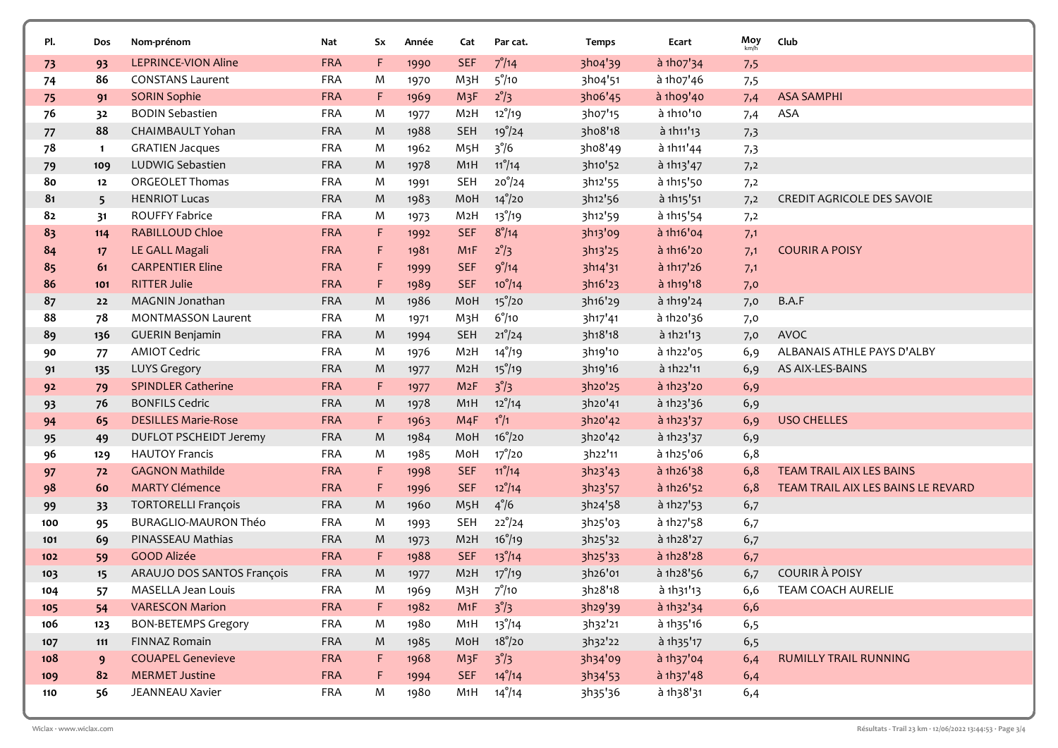| Pl. | Dos          | Nom-prénom                                        | Nat        | Sx          | Année | Cat              | Par cat.        | <b>Temps</b> | Ecart       | Moy | Club                               |
|-----|--------------|---------------------------------------------------|------------|-------------|-------|------------------|-----------------|--------------|-------------|-----|------------------------------------|
| 73  | 93           | <b>LEPRINCE-VION Aline</b>                        | <b>FRA</b> | F           | 1990  | <b>SEF</b>       | $7^{\circ}/14$  | 3ho4'39      | à 1h07'34   | 7,5 |                                    |
| 74  | 86           | <b>CONSTANS Laurent</b>                           | <b>FRA</b> | M           | 1970  | M <sub>3</sub> H | $5^{\circ}/10$  | 3ho4'51      | à 1ho7'46   | 7,5 |                                    |
| 75  | 91           | <b>SORIN Sophie</b>                               | <b>FRA</b> | F.          | 1969  | M <sub>3</sub> F | $2^{\circ}/3$   | 3ho6'45      | à 1h09'40   | 7,4 | <b>ASA SAMPHI</b>                  |
| 76  | 32           | <b>BODIN Sebastien</b>                            | <b>FRA</b> | M           | 1977  | M <sub>2</sub> H | $12^{\circ}/19$ | 3ho7'15      | à 1h10'10   | 7,4 | ASA                                |
| 77  | 88           | CHAIMBAULT Yohan                                  | <b>FRA</b> | M           | 1988  | <b>SEH</b>       | 19°/24          | 3ho8'18      | à 1h11'13   | 7,3 |                                    |
| 78  | $\mathbf{1}$ | <b>GRATIEN Jacques</b>                            | <b>FRA</b> | M           | 1962  | M <sub>5</sub> H | $3^{\degree}/6$ | 3ho8'49      | à 1h11'44   | 7,3 |                                    |
| 79  | 109          | LUDWIG Sebastien                                  | <b>FRA</b> | M           | 1978  | M1H              | $11^{\circ}/14$ | 3h10'52      | à 1h13'47   | 7,2 |                                    |
| 80  | 12           | <b>ORGEOLET Thomas</b>                            | <b>FRA</b> | M           | 1991  | <b>SEH</b>       | $20^{\circ}/24$ | 3h12'55      | à 1h15'50   | 7,2 |                                    |
| 81  | 5            | <b>HENRIOT Lucas</b>                              | <b>FRA</b> | M           | 1983  | MoH              | $14^{\circ}/20$ | 3h12'56      | à 1h15'51   | 7,2 | CREDIT AGRICOLE DES SAVOIE         |
| 82  | 31           | <b>ROUFFY Fabrice</b>                             | <b>FRA</b> | M           | 1973  | M <sub>2</sub> H | $13^{\circ}/19$ | 3h12'59      | à 1h15'54   | 7,2 |                                    |
| 83  | 114          | <b>RABILLOUD Chloe</b>                            | <b>FRA</b> | F.          | 1992  | <b>SEF</b>       | $8^\circ/14$    | 3h13'09      | à 1h16'04   | 7,1 |                                    |
| 84  | 17           | LE GALL Magali                                    | <b>FRA</b> | F.          | 1981  | M1F              | $2^{\circ}/3$   | 3h13'25      | à 1h16'20   | 7,1 | <b>COURIR A POISY</b>              |
| 85  | 61           | <b>CARPENTIER Eline</b>                           | <b>FRA</b> | F.          | 1999  | <b>SEF</b>       | 9°/14           | 3h14'31      | à 1h17'26   | 7,1 |                                    |
| 86  | 101          | <b>RITTER Julie</b>                               | <b>FRA</b> | $\mathsf F$ | 1989  | <b>SEF</b>       | $10^{\circ}/14$ | 3h16'23      | à 1h19'18   | 7,0 |                                    |
| 87  | 22           | MAGNIN Jonathan                                   | <b>FRA</b> | M           | 1986  | MoH              | $15^{\circ}/20$ | 3h16'29      | à 1h19'24   | 7,0 | B.A.F                              |
| 88  | 78           | <b>MONTMASSON Laurent</b>                         | <b>FRA</b> | M           | 1971  | M <sub>3</sub> H | $6^{\circ}/10$  | 3h17'41      | à 1h20'36   | 7,0 |                                    |
| 89  | 136          | <b>GUERIN Benjamin</b>                            | <b>FRA</b> | M           | 1994  | <b>SEH</b>       | $21^{\circ}/24$ | 3h18'18      | à 1h21'13   | 7,0 | AVOC                               |
| 90  | 77           | <b>AMIOT Cedric</b>                               | <b>FRA</b> | M           | 1976  | M <sub>2</sub> H | $14^{\circ}/19$ | 3h19'10      | à 1h22'05   | 6,9 | ALBANAIS ATHLE PAYS D'ALBY         |
| 91  | 135          | <b>LUYS Gregory</b>                               | <b>FRA</b> | M           | 1977  | M <sub>2</sub> H | $15^{\circ}/19$ | 3h19'16      | à 1h22'11   | 6,9 | AS AIX-LES-BAINS                   |
| 92  | 79           | <b>SPINDLER Catherine</b>                         | <b>FRA</b> | F           | 1977  | M2F              | $3^{\circ}/3$   | 3h20'25      | à 1h23'20   | 6,9 |                                    |
| 93  | 76           | <b>BONFILS Cedric</b>                             | <b>FRA</b> | M           | 1978  | M1H              | $12^{\circ}/14$ | 3h20'41      | à 1h23'36   | 6,9 |                                    |
| 94  | 65           | <b>DESILLES Marie-Rose</b>                        | <b>FRA</b> | F.          | 1963  | M4F              | $1^\circ/1$     | 3h20'42      | à 1h23'37   | 6,9 | <b>USO CHELLES</b>                 |
| 95  | 49           | DUFLOT PSCHEIDT Jeremy                            | <b>FRA</b> | M           | 1984  | MoH              | $16^{\circ}/20$ | 3h20'42      | à 1h23'37   | 6,9 |                                    |
| 96  | 129          | <b>HAUTOY Francis</b>                             | <b>FRA</b> | M           | 1985  | MoH              | $17^{\circ}/20$ | 3h22'11      | à 1h25'06   | 6,8 |                                    |
| 97  | 72           | <b>GAGNON Mathilde</b>                            | <b>FRA</b> | F.          | 1998  | <b>SEF</b>       | $11^{\circ}/14$ | 3h23'43      | à 1h26'38   | 6,8 | TEAM TRAIL AIX LES BAINS           |
| 98  | 60           | <b>MARTY Clémence</b>                             | <b>FRA</b> | F.          | 1996  | <b>SEF</b>       | $12^{\circ}/14$ | 3h23'57      | à 1h26'52   | 6,8 | TEAM TRAIL AIX LES BAINS LE REVARD |
| 99  | 33           | <b>TORTORELLI François</b>                        | <b>FRA</b> | M           | 1960  | M <sub>5</sub> H | $4^{\circ}/6$   | 3h24'58      | à 1h27'53   | 6,7 |                                    |
| 100 | 95           | BURAGLIO-MAURON Théo                              | <b>FRA</b> | M           | 1993  | <b>SEH</b>       | $22^{\circ}/24$ | 3h25'03      | à 1h27'58   | 6,7 |                                    |
| 101 | 69           | PINASSEAU Mathias                                 | <b>FRA</b> | M           | 1973  | M2H              | $16^{\circ}/19$ | 3h25'32      | à 1h28'27   | 6,7 |                                    |
| 102 | 59           | <b>GOOD Alizée</b>                                | <b>FRA</b> | F           | 1988  | <b>SEF</b>       | $13^{\circ}/14$ | 3h25'33      | à 1h28'28   | 6,7 |                                    |
| 103 | 15           | ARAUJO DOS SANTOS François                        | <b>FRA</b> | M           | 1977  | M <sub>2</sub> H | $17^{\circ}/19$ | 3h26'01      | à 1h28'56   | 6,7 | <b>COURIR À POISY</b>              |
| 104 | 57           | MASELLA Jean Louis                                | <b>FRA</b> | M           | 1969  | M3H              | $7^\circ/10$    | 3h28'18      | à 1h31'13   | 6,6 | TEAM COACH AURELIE                 |
| 105 | 54           | <b>VARESCON Marion</b>                            | <b>FRA</b> | F.          | 1982  | M1F              | $3^{\degree}/3$ | 3h29'39      | à 1h32'34   | 6,6 |                                    |
| 106 | 123          | <b>BON-BETEMPS Gregory</b>                        | <b>FRA</b> | M           | 1980  | M1H              | $13^{\circ}/14$ | 3h32'21      | à 1h35'16   | 6,5 |                                    |
| 107 | 111          | FINNAZ Romain                                     | FRA        | M           | 1985  | MoH              | $18^{\circ}/20$ | 3h32'22      | à 1h35'17   | 6,5 |                                    |
| 108 | 9            | <b>COUAPEL Genevieve</b><br><b>MERMET Justine</b> | <b>FRA</b> | F.          | 1968  | M <sub>3</sub> F | $3^{\circ}/3$   | 3h34'09      | à 1h37'04   | 6,4 | <b>RUMILLY TRAIL RUNNING</b>       |
| 109 | 82           | JEANNEAU Xavier                                   | <b>FRA</b> | F.          | 1994  | <b>SEF</b>       | $14^{\circ}/14$ | 3h34'53      | $a$ 1h37'48 | 6,4 |                                    |
| 110 | 56           |                                                   | <b>FRA</b> | M           | 1980  | M1H              | $14^{\circ}/14$ | 3h35'36      | à 1h38'31   | 6,4 |                                    |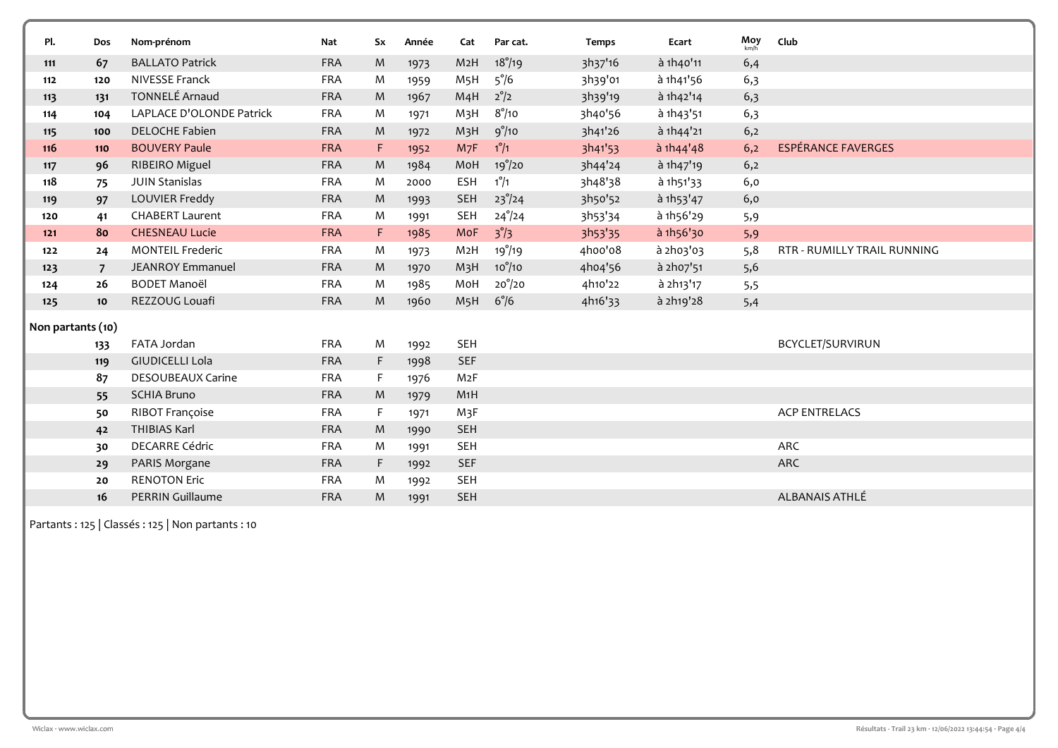| Pl.               | Dos             | Nom-prénom               | Nat        | Sx        | Année | Cat              | Par cat.        | <b>Temps</b> | Ecart     | $Moy$ <sub>km/h</sub> | Club                               |
|-------------------|-----------------|--------------------------|------------|-----------|-------|------------------|-----------------|--------------|-----------|-----------------------|------------------------------------|
| 111               | 67              | <b>BALLATO Patrick</b>   | <b>FRA</b> | ${\sf M}$ | 1973  | M2H              | $18^{\circ}/19$ | 3h37'16      | à 1h40'11 | 6,4                   |                                    |
| 112               | 120             | <b>NIVESSE Franck</b>    | <b>FRA</b> | M         | 1959  | M <sub>5</sub> H | $5^{\circ}/6$   | 3h39'01      | à 1h41'56 | 6,3                   |                                    |
| 113               | 131             | <b>TONNELÉ Arnaud</b>    | <b>FRA</b> | M         | 1967  | M4H              | $2^{\circ}/2$   | 3h39'19      | à 1h42'14 | 6,3                   |                                    |
| 114               | 104             | LAPLACE D'OLONDE Patrick | <b>FRA</b> | M         | 1971  | M3H              | $8^\circ/10$    | 3h40'56      | à 1h43'51 | 6,3                   |                                    |
| 115               | 100             | <b>DELOCHE Fabien</b>    | <b>FRA</b> | M         | 1972  | M <sub>3</sub> H | 9°/10           | 3h41'26      | à 1h44'21 | 6,2                   |                                    |
| 116               | 110             | <b>BOUVERY Paule</b>     | <b>FRA</b> | F.        | 1952  | M7F              | $1^{\circ}/1$   | 3h41'53      | a 1h44'48 | 6,2                   | <b>ESPÉRANCE FAVERGES</b>          |
| 117               | 96              | RIBEIRO Miguel           | <b>FRA</b> | M         | 1984  | MoH              | $19^{\circ}/20$ | 3h44'24      | à 1h47'19 | 6,2                   |                                    |
| 118               | 75              | <b>JUIN Stanislas</b>    | <b>FRA</b> | M         | 2000  | <b>ESH</b>       | $1^{\circ}/1$   | 3h48'38      | à 1h51'33 | 6,0                   |                                    |
| 119               | 97              | LOUVIER Freddy           | <b>FRA</b> | M         | 1993  | <b>SEH</b>       | $23^{\circ}/24$ | 3h50'52      | à 1h53'47 | 6,0                   |                                    |
| 120               | 41              | <b>CHABERT Laurent</b>   | <b>FRA</b> | M         | 1991  | <b>SEH</b>       | $24^{\circ}/24$ | 3h53'34      | à 1h56'29 | 5,9                   |                                    |
| $121$             | 80              | <b>CHESNEAU Lucie</b>    | <b>FRA</b> | F.        | 1985  | MoF              | $3^{\circ}/3$   | 3h53'35      | à 1h56'30 | 5,9                   |                                    |
| 122               | 24              | <b>MONTEIL Frederic</b>  | <b>FRA</b> | M         | 1973  | M2H              | $19^{\circ}/19$ | 4hoo'o8      | à 2h03'03 | 5,8                   | <b>RTR - RUMILLY TRAIL RUNNING</b> |
| 123               | $\overline{7}$  | <b>JEANROY Emmanuel</b>  | <b>FRA</b> | M         | 1970  | M <sub>3</sub> H | $10^{\circ}/10$ | 4ho4'56      | à 2h07'51 | 5,6                   |                                    |
| 124               | 26              | <b>BODET Manoël</b>      | <b>FRA</b> | M         | 1985  | MoH              | $20^{\circ}/20$ | 4h10'22      | à 2h13'17 | 5,5                   |                                    |
| 125               | 10 <sup>°</sup> | REZZOUG Louafi           | <b>FRA</b> | M         | 1960  | M <sub>5</sub> H | $6^{\circ}/6$   | 4h16'33      | à 2h19'28 | 5,4                   |                                    |
| Non partants (10) |                 |                          |            |           |       |                  |                 |              |           |                       |                                    |
|                   | 133             | FATA Jordan              | <b>FRA</b> | M         | 1992  | <b>SEH</b>       |                 |              |           |                       | BCYCLET/SURVIRUN                   |
|                   | 119             | <b>GIUDICELLI Lola</b>   | <b>FRA</b> | F         | 1998  | <b>SEF</b>       |                 |              |           |                       |                                    |
|                   | 87              | <b>DESOUBEAUX Carine</b> | <b>FRA</b> | F         | 1976  | M2F              |                 |              |           |                       |                                    |
|                   | 55              | <b>SCHIA Bruno</b>       | <b>FRA</b> | M         | 1979  | M1H              |                 |              |           |                       |                                    |
|                   | 50              | RIBOT Françoise          | <b>FRA</b> | F         | 1971  | M3F              |                 |              |           |                       | <b>ACP ENTRELACS</b>               |
|                   | 42              | <b>THIBIAS Karl</b>      | <b>FRA</b> | M         | 1990  | <b>SEH</b>       |                 |              |           |                       |                                    |
|                   | 30              | <b>DECARRE Cédric</b>    | <b>FRA</b> | M         | 1991  | <b>SEH</b>       |                 |              |           |                       | ARC                                |
|                   | 29              | PARIS Morgane            | <b>FRA</b> | F.        | 1992  | <b>SEF</b>       |                 |              |           |                       | ARC                                |
|                   | 20              | <b>RENOTON Eric</b>      | <b>FRA</b> | M         | 1992  | <b>SEH</b>       |                 |              |           |                       |                                    |
|                   | 16              | <b>PERRIN Guillaume</b>  | <b>FRA</b> | M         | 1991  | <b>SEH</b>       |                 |              |           |                       | ALBANAIS ATHLÉ                     |

 $\vert$  Partants : 125 | Classés : 125 | Non partants : 10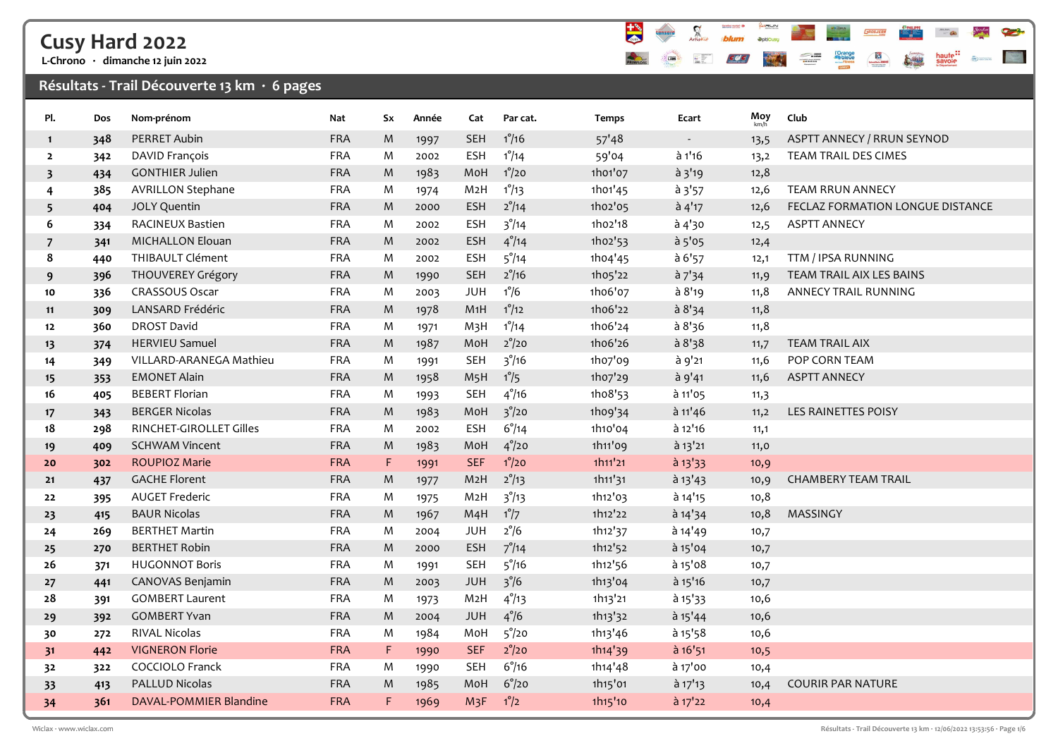# Cusy Hard 2022

L-Chrono · dimanche 12 juin 2022

### Résultats - Trail Découverte 13 km  $\cdot$  6 pages



| Pl.                     | Dos | Nom-prénom               | Nat        | Sx          | Année | Cat              | Par cat.         | <b>Temps</b> | Ecart            | Moy  | Club                              |
|-------------------------|-----|--------------------------|------------|-------------|-------|------------------|------------------|--------------|------------------|------|-----------------------------------|
| $\mathbf{1}$            | 348 | <b>PERRET Aubin</b>      | FRA        | M           | 1997  | <b>SEH</b>       | $1^{\circ}/16$   | 57'48        | $\sim$           | 13,5 | <b>ASPTT ANNECY / RRUN SEYNOD</b> |
| $\overline{2}$          | 342 | DAVID François           | FRA        | M           | 2002  | <b>ESH</b>       | $1^{\circ}/14$   | 59'04        | à 1'16           | 13,2 | TEAM TRAIL DES CIMES              |
| $\overline{\mathbf{3}}$ | 434 | <b>GONTHIER Julien</b>   | FRA        | M           | 1983  | MoH              | $1^{\circ}/20$   | 1h01'07      | $\lambda$ 3'19   | 12,8 |                                   |
| 4                       | 385 | <b>AVRILLON Stephane</b> | <b>FRA</b> | M           | 1974  | M <sub>2</sub> H | $1^{\circ}/13$   | 1h01'45      | a3'57            | 12,6 | <b>TEAM RRUN ANNECY</b>           |
| 5                       | 404 | JOLY Quentin             | <b>FRA</b> | M           | 2000  | <b>ESH</b>       | $2^{\circ}/14$   | 1ho2'05      | $\grave{a}$ 4'17 | 12,6 | FECLAZ FORMATION LONGUE DISTANCE  |
| 6                       | 334 | RACINEUX Bastien         | <b>FRA</b> | M           | 2002  | <b>ESH</b>       | $3^{\degree}/14$ | 1ho2'18      | à 4'30           | 12,5 | <b>ASPTT ANNECY</b>               |
| 7                       | 341 | <b>MICHALLON Elouan</b>  | FRA        | M           | 2002  | <b>ESH</b>       | $4^{\circ}/14$   | 1ho2'53      | $a$ 5'05         | 12,4 |                                   |
| 8                       | 440 | THIBAULT Clément         | <b>FRA</b> | M           | 2002  | <b>ESH</b>       | $5^{\degree}/14$ | 1ho4'45      | a 6'57           | 12,1 | TTM / IPSA RUNNING                |
| 9                       | 396 | THOUVEREY Grégory        | <b>FRA</b> | M           | 1990  | <b>SEH</b>       | $2^{\circ}/16$   | 1h05'22      | $a^{7}34$        | 11,9 | TEAM TRAIL AIX LES BAINS          |
| 10                      | 336 | CRASSOUS Oscar           | <b>FRA</b> | M           | 2003  | <b>JUH</b>       | $1^{\circ}/6$    | 1h06'07      | à 8'19           | 11,8 | ANNECY TRAIL RUNNING              |
| 11                      | 309 | LANSARD Frédéric         | <b>FRA</b> | M           | 1978  | M1H              | $1^{\circ}/12$   | 1h06'22      | a 8'34           | 11,8 |                                   |
| 12                      | 360 | <b>DROST David</b>       | <b>FRA</b> | M           | 1971  | M <sub>3</sub> H | $1^{\circ}/14$   | 1h06'24      | a 8'36           | 11,8 |                                   |
| 13                      | 374 | <b>HERVIEU Samuel</b>    | <b>FRA</b> | ${\sf M}$   | 1987  | MoH              | $2^{\circ}/20$   | 1h06'26      | a 8'38           | 11,7 | <b>TEAM TRAIL AIX</b>             |
| 14                      | 349 | VILLARD-ARANEGA Mathieu  | FRA        | ${\sf M}$   | 1991  | <b>SEH</b>       | $3^{\circ}/16$   | 1ho7'09      | à 9'21           | 11,6 | POP CORN TEAM                     |
| 15                      | 353 | <b>EMONET Alain</b>      | <b>FRA</b> | M           | 1958  | M <sub>5</sub> H | $1^{\circ}/5$    | 1ho7'29      | à 9'41           | 11,6 | <b>ASPTT ANNECY</b>               |
| 16                      | 405 | <b>BEBERT Florian</b>    | <b>FRA</b> | M           | 1993  | <b>SEH</b>       | $4^{\circ}/16$   | 1ho8'53      | à 11'05          | 11,3 |                                   |
| 17                      | 343 | <b>BERGER Nicolas</b>    | FRA        | M           | 1983  | MoH              | $3^{\circ}/20$   | 1h09'34      | $a$ 11'46        | 11,2 | LES RAINETTES POISY               |
| 18                      | 298 | RINCHET-GIROLLET Gilles  | <b>FRA</b> | M           | 2002  | <b>ESH</b>       | $6^{\circ}/14$   | 1h10'04      | à 12'16          | 11,1 |                                   |
| 19                      | 409 | <b>SCHWAM Vincent</b>    | <b>FRA</b> | M           | 1983  | MoH              | $4^{\degree}/20$ | 1h11'09      | $\hat{a}$ 13'21  | 11,0 |                                   |
| 20                      | 302 | <b>ROUPIOZ Marie</b>     | <b>FRA</b> | $\mathsf F$ | 1991  | <b>SEF</b>       | $1^{\circ}/20$   | 1h11'21      | $a$ 13 $'33$     | 10,9 |                                   |
| 21                      | 437 | <b>GACHE Florent</b>     | <b>FRA</b> | M           | 1977  | M <sub>2</sub> H | $2^{\circ}/13$   | 1h11'31      | $a$ 13'43        | 10,9 | <b>CHAMBERY TEAM TRAIL</b>        |
| 22                      | 395 | <b>AUGET Frederic</b>    | <b>FRA</b> | M           | 1975  | M <sub>2</sub> H | $3^{\circ}/13$   | 1h12'03      | à 14'15          | 10,8 |                                   |
| 23                      | 415 | <b>BAUR Nicolas</b>      | FRA        | M           | 1967  | M4H              | $1^{\circ}/7$    | 1h12'22      | à 14'34          | 10,8 | MASSINGY                          |
| 24                      | 269 | <b>BERTHET Martin</b>    | FRA        | M           | 2004  | <b>JUH</b>       | $2^{\circ}/6$    | 1h12'37      | à 14'49          | 10,7 |                                   |
| 25                      | 270 | <b>BERTHET Robin</b>     | <b>FRA</b> | M           | 2000  | ESH              | $7^{\circ}/14$   | 1h12'52      | à 15'04          | 10,7 |                                   |
| 26                      | 371 | <b>HUGONNOT Boris</b>    | <b>FRA</b> | M           | 1991  | <b>SEH</b>       | $5^\circ/16$     | 1h12'56      | à 15'08          | 10,7 |                                   |
| 27                      | 441 | CANOVAS Benjamin         | <b>FRA</b> | M           | 2003  | <b>JUH</b>       | $3^{\circ}/6$    | 1h13'04      | à 15'16          | 10,7 |                                   |
| 28                      | 391 | <b>GOMBERT Laurent</b>   | <b>FRA</b> | M           | 1973  | M <sub>2</sub> H | $4^{\circ}/13$   | 1h13'21      | $a$ 15 $'33$     | 10,6 |                                   |
| 29                      | 392 | <b>GOMBERT Yvan</b>      | <b>FRA</b> | M           | 2004  | <b>JUH</b>       | $4^{\degree}/6$  | 1h13'32      | $a$ 15'44        | 10,6 |                                   |
| 30                      | 272 | <b>RIVAL Nicolas</b>     | <b>FRA</b> | M           | 1984  | MoH              | $5^{\circ}/20$   | 1h13'46      | à 15'58          | 10,6 |                                   |
| 31                      | 442 | <b>VIGNERON Florie</b>   | <b>FRA</b> | $\mathsf F$ | 1990  | <b>SEF</b>       | $2^{\circ}/20$   | 1h14'39      | $a$ 16'51        | 10,5 |                                   |
| 32                      | 322 | <b>COCCIOLO Franck</b>   | <b>FRA</b> | M           | 1990  | <b>SEH</b>       | $6^{\circ}/16$   | 1h14'48      | à 17'00          | 10,4 |                                   |
| 33                      | 413 | <b>PALLUD Nicolas</b>    | FRA        | M           | 1985  | MoH              | $6^{\circ}/20$   | 1h15'01      | $a$ 17'13        | 10,4 | <b>COURIR PAR NATURE</b>          |
| 34                      | 361 | DAVAL-POMMIER Blandine   | <b>FRA</b> | $\mathsf F$ | 1969  | M <sub>3</sub> F | $1^{\circ}/2$    | 1h15'10      | $\hat{a}$ 17'22  | 10,4 |                                   |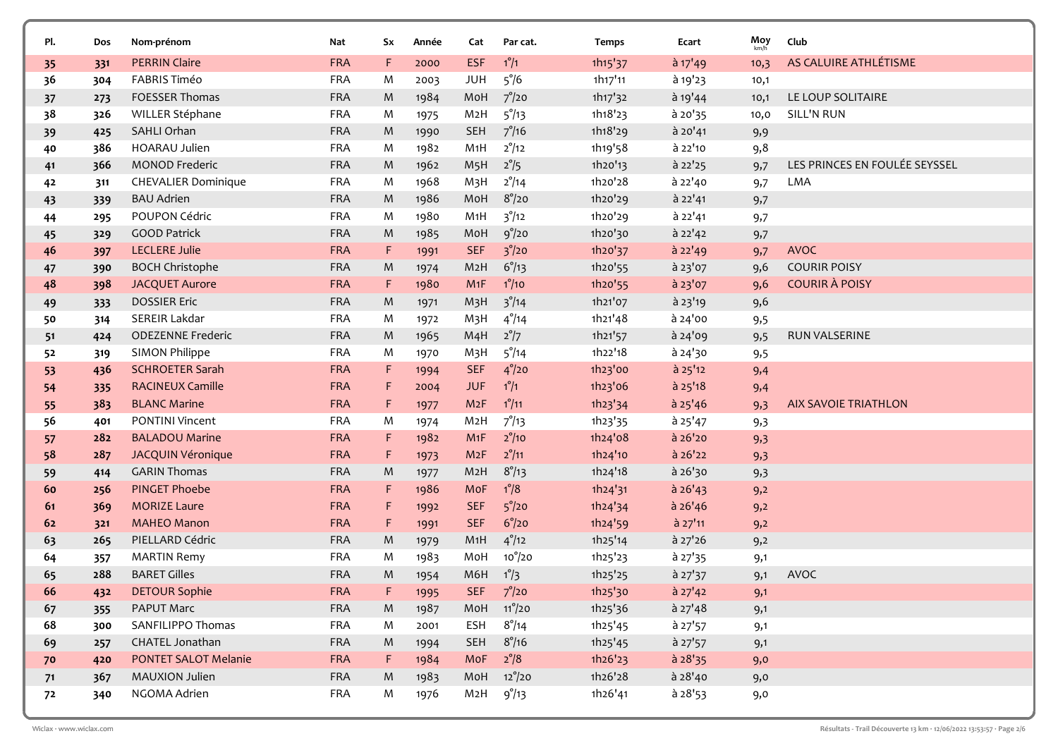| Pl.      | Dos        | Nom-prénom                                | Nat                      | Sx        | Année        | Cat                     | Par cat.                          | <b>Temps</b>       | Ecart                  | Moy        | Club                          |
|----------|------------|-------------------------------------------|--------------------------|-----------|--------------|-------------------------|-----------------------------------|--------------------|------------------------|------------|-------------------------------|
| 35       | 331        | <b>PERRIN Claire</b>                      | <b>FRA</b>               | F.        | 2000         | <b>ESF</b>              | $1^\circ/1$                       | 1h15'37            | à 17'49                | 10,3       | AS CALUIRE ATHLÉTISME         |
| 36       | 304        | <b>FABRIS Timéo</b>                       | <b>FRA</b>               | M         | 2003         | <b>JUH</b>              | $5^{\degree}/6$                   | 1h17'11            | à 19'23                | 10,1       |                               |
| 37       | 273        | FOESSER Thomas                            | <b>FRA</b>               | M         | 1984         | MoH                     | $7^\circ/20$                      | 1h17'32            | à 19'44                | 10,1       | LE LOUP SOLITAIRE             |
| 38       | 326        | WILLER Stéphane                           | <b>FRA</b>               | M         | 1975         | M2H                     | $5^{\circ}/13$                    | 1h18'23            | à 20'35                | 10,0       | SILL'N RUN                    |
| 39       | 425        | SAHLI Orhan                               | <b>FRA</b>               | M         | 1990         | <b>SEH</b>              | $7^{\circ}/16$                    | 1h18'29            | à 20'41                | 9,9        |                               |
| 40       | 386        | <b>HOARAU Julien</b>                      | <b>FRA</b>               | M         | 1982         | M1H                     | $2^{\circ}/12$                    | 1h19'58            | à 22'10                | 9,8        |                               |
| 41       | 366        | <b>MONOD Frederic</b>                     | <b>FRA</b>               | M         | 1962         | M <sub>5</sub> H        | $2^{\circ}/5$                     | 1h20'13            | à 22'25                | 9,7        | LES PRINCES EN FOULÉE SEYSSEL |
| 42       | 311        | <b>CHEVALIER Dominique</b>                | <b>FRA</b>               | M         | 1968         | M <sub>3</sub> H        | $2^{\circ}/14$                    | 1h20'28            | à 22'40                | 9,7        | LMA                           |
| 43       | 339        | <b>BAU Adrien</b>                         | <b>FRA</b>               | M         | 1986         | MoH                     | $8^{\circ}/20$                    | 1h20'29            | à 22'41                | 9,7        |                               |
| 44       | 295        | POUPON Cédric                             | <b>FRA</b>               | M         | 1980         | M1H                     | $3^{\circ}/12$                    | 1h20'29            | à 22'41                | 9,7        |                               |
| 45       | 329        | <b>GOOD Patrick</b>                       | <b>FRA</b>               | M         | 1985         | MoH                     | 9°/20                             | 1h20'30            | à 22'42                | 9,7        |                               |
| 46       | 397        | <b>LECLERE Julie</b>                      | <b>FRA</b>               | F         | 1991         | <b>SEF</b>              | $3^{\degree}/20$                  | 1h20'37            | à 22'49                | 9,7        | <b>AVOC</b>                   |
| 47       | 390        | <b>BOCH Christophe</b>                    | <b>FRA</b>               | M         | 1974         | M <sub>2</sub> H        | $6^{\circ}/13$                    | 1h20'55            | à 23'07                | 9,6        | <b>COURIR POISY</b>           |
| 48       | 398        | <b>JACQUET Aurore</b>                     | <b>FRA</b>               | F         | 1980         | M1F                     | $1^\circ/10$                      | 1h20'55            | à 23'07                | 9,6        | <b>COURIR À POISY</b>         |
| 49       | 333        | <b>DOSSIER Eric</b>                       | <b>FRA</b>               | M         | 1971         | M <sub>3</sub> H        | $3^{\degree}/14$                  | 1h21'07            | à 23'19                | 9,6        |                               |
| 50       | 314        | SEREIR Lakdar                             | <b>FRA</b>               | M         | 1972         | M <sub>3</sub> H        | $4^{\degree}/14$                  | 1h21'48            | à 24'00                | 9,5        |                               |
| 51       | 424        | <b>ODEZENNE Frederic</b>                  | <b>FRA</b>               | M         | 1965         | M <sub>4</sub> H        | $2^{\circ}/7$                     | 1h21'57            | à 24'09                | 9,5        | RUN VALSERINE                 |
| 52       | 319        | <b>SIMON Philippe</b>                     | <b>FRA</b>               | M         | 1970         | M3H                     | $5^{\degree}/14$                  | 1h22'18            | à 24'30                | 9,5        |                               |
| 53       | 436        | <b>SCHROETER Sarah</b>                    | <b>FRA</b>               | F         | 1994         | <b>SEF</b>              | $4^{\circ}/20$                    | 1h23'00            | $a$ 25'12              | 9,4        |                               |
| 54       | 335        | <b>RACINEUX Camille</b>                   | <b>FRA</b>               | F         | 2004         | <b>JUF</b>              | $1^{\circ}/1$                     | 1h23'06            | $a$ 25'18              | 9,4        |                               |
| 55       | 383        | <b>BLANC Marine</b>                       | <b>FRA</b>               | F         | 1977         | M2F                     | $1^{\circ}/11$                    | 1h23'34            | à 25'46                | 9,3        | <b>AIX SAVOIE TRIATHLON</b>   |
| 56       | 401        | PONTINI Vincent                           | <b>FRA</b>               | M         | 1974         | M <sub>2</sub> H        | $7^{\circ}/13$                    | 1h23'35            | $a$ 25'47              | 9,3        |                               |
| 57       | 282        | <b>BALADOU Marine</b>                     | <b>FRA</b>               | F         | 1982         | M1F                     | $2^{\circ}/10$                    | 1h24'08            | à 26'20                | 9,3        |                               |
| 58       | 287        | <b>JACQUIN Véronique</b>                  | <b>FRA</b>               | F         | 1973         | M2F                     | $2^{\circ}/11$                    | 1h24'10            | à 26'22                | 9,3        |                               |
| 59       | 414        | <b>GARIN Thomas</b>                       | <b>FRA</b>               | M         | 1977         | M <sub>2</sub> H        | $8^{\circ}/13$                    | 1h24'18            | à 26'30                | 9,3        |                               |
| 60       | 256        | <b>PINGET Phoebe</b>                      | <b>FRA</b>               | F         | 1986         | MoF                     | $1^{\circ}/8$                     | 1h24'31            | $a$ 26'43              | 9,2        |                               |
| 61       | 369        | <b>MORIZE Laure</b>                       | <b>FRA</b>               | F         | 1992         | <b>SEF</b>              | $5^\circ/20$                      | 1h24'34            | $a$ 26'46              | 9,2        |                               |
| 62       | 321        | <b>MAHEO Manon</b><br>PIELLARD Cédric     | <b>FRA</b><br><b>FRA</b> | F         | 1991         | <b>SEF</b>              | $6^{\circ}/20$                    | 1h24'59            | à 27'11                | 9,2        |                               |
| 63       | 265        |                                           | <b>FRA</b>               | M<br>M    | 1979         | M <sub>1</sub> H<br>MoH | $4^{\circ}/12$<br>$10^{\circ}/20$ | 1h25'14            | à 27'26                | 9,2        |                               |
| 64<br>65 | 357<br>288 | <b>MARTIN Remy</b><br><b>BARET Gilles</b> | <b>FRA</b>               | M         | 1983         | M6H                     | $1^{\circ}/3$                     | 1h25'23<br>1h25'25 | $a$ 27'35<br>$a$ 27'37 | 9,1        | <b>AVOC</b>                   |
| 66       |            | <b>DETOUR Sophie</b>                      | <b>FRA</b>               |           | 1954         |                         | $7^{\circ}/20$                    | 1h25'30            | $a$ 27'42              | 9,1        |                               |
| 67       | 432<br>355 | PAPUT Marc                                | <b>FRA</b>               | M         | 1995<br>1987 | <b>SEF</b>              | MoH 11 <sup>°</sup> /20           | 1h25'36            | $a$ 27'48              | 9,1<br>9,1 |                               |
| 68       | 300        | SANFILIPPO Thomas                         | <b>FRA</b>               | M         | 2001         | ESH                     | $8^\circ/14$                      | 1h25'45            | à 27'57                | 9,1        |                               |
| 69       | 257        | CHATEL Jonathan                           | <b>FRA</b>               | ${\sf M}$ | 1994         | SEH                     | $8^{\circ}/16$                    | 1h25'45            | $a$ 27'57              | 9,1        |                               |
| 70       | 420        | PONTET SALOT Melanie                      | <b>FRA</b>               | F.        | 1984         | MoF                     | $2^{\circ}/8$                     | 1h26'23            | $a$ 28'35              | 9,0        |                               |
| 71       | 367        | MAUXION Julien                            | <b>FRA</b>               | M         | 1983         |                         | MoH 12%20                         | 1h26'28            | a 28'40                | 9,0        |                               |
| 72       | 340        | NGOMA Adrien                              | FRA                      | M         | 1976         | M2H                     | $9^{\circ}/13$                    | 1h26'41            | $a$ 28'53              | 9,0        |                               |
|          |            |                                           |                          |           |              |                         |                                   |                    |                        |            |                               |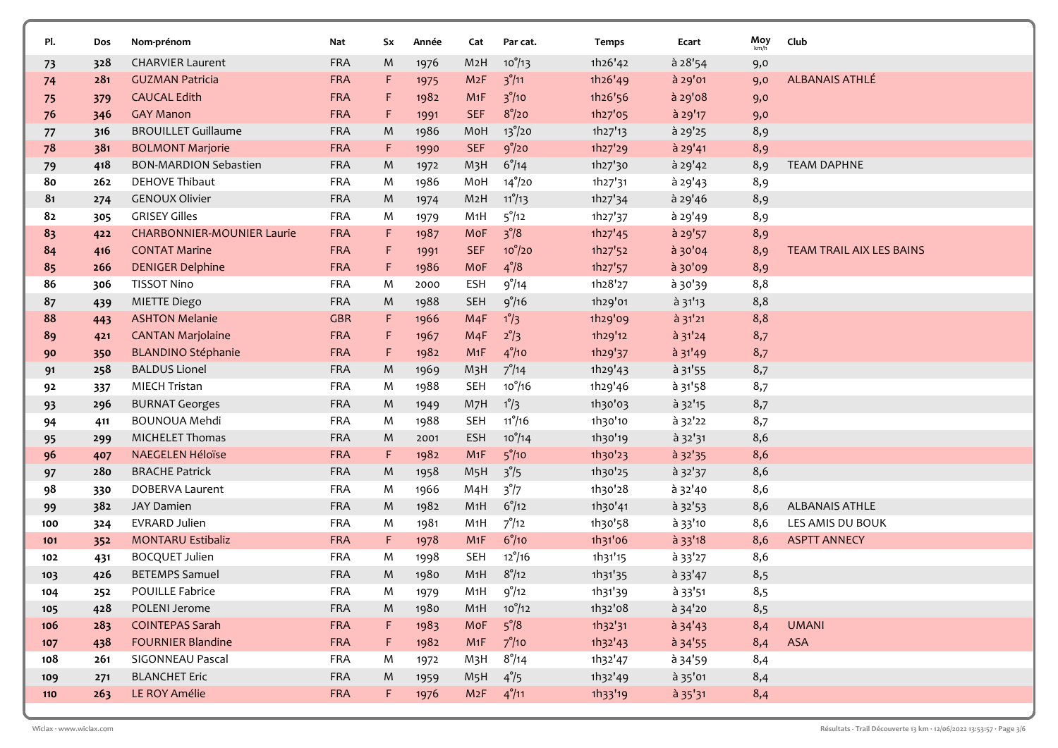| Pl. | Dos | Nom-prénom                        | Nat        | Sx | Année | Cat              | Par cat.         | Temps   | Ecart           | Moy | Club                     |
|-----|-----|-----------------------------------|------------|----|-------|------------------|------------------|---------|-----------------|-----|--------------------------|
| 73  | 328 | <b>CHARVIER Laurent</b>           | <b>FRA</b> | M  | 1976  | M <sub>2</sub> H | $10^{9}/13$      | 1h26'42 | à 28'54         | 9,0 |                          |
| 74  | 281 | <b>GUZMAN Patricia</b>            | <b>FRA</b> | F. | 1975  | M2F              | $3^{\circ}/11$   | 1h26'49 | à 29'01         | 9,0 | <b>ALBANAIS ATHLÉ</b>    |
| 75  | 379 | <b>CAUCAL Edith</b>               | <b>FRA</b> | F  | 1982  | M1F              | $3^{\circ}/10$   | 1h26'56 | à 29'08         | 9,0 |                          |
| 76  | 346 | <b>GAY Manon</b>                  | <b>FRA</b> | F. | 1991  | <b>SEF</b>       | $8^{\circ}/20$   | 1h27'05 | à 29'17         | 9,0 |                          |
| 77  | 316 | <b>BROUILLET Guillaume</b>        | <b>FRA</b> | M  | 1986  | MoH              | $13^{\circ}/20$  | 1h27'13 | à 29'25         | 8,9 |                          |
| 78  | 381 | <b>BOLMONT Marjorie</b>           | <b>FRA</b> | F. | 1990  | <b>SEF</b>       | 9°/20            | 1h27'29 | à 29'41         | 8,9 |                          |
| 79  | 418 | <b>BON-MARDION Sebastien</b>      | <b>FRA</b> | M  | 1972  | M <sub>3</sub> H | $6^{\circ}/14$   | 1h27'30 | $a$ 29'42       | 8,9 | <b>TEAM DAPHNE</b>       |
| 80  | 262 | <b>DEHOVE Thibaut</b>             | <b>FRA</b> | M  | 1986  | MoH              | $14^{\circ}/20$  | 1h27'31 | à 29'43         | 8,9 |                          |
| 81  | 274 | <b>GENOUX Olivier</b>             | <b>FRA</b> | M  | 1974  | M <sub>2</sub> H | $11^{\circ}/13$  | 1h27'34 | à 29'46         | 8,9 |                          |
| 82  | 305 | <b>GRISEY Gilles</b>              | <b>FRA</b> | M  | 1979  | M1H              | $5^{\circ}/12$   | 1h27'37 | à 29'49         | 8,9 |                          |
| 83  | 422 | <b>CHARBONNIER-MOUNIER Laurie</b> | <b>FRA</b> | F. | 1987  | MoF              | $3^{\circ}/8$    | 1h27'45 | à 29'57         | 8,9 |                          |
| 84  | 416 | <b>CONTAT Marine</b>              | <b>FRA</b> | F  | 1991  | <b>SEF</b>       | $10^{\circ}/20$  | 1h27'52 | à 30'04         | 8,9 | TEAM TRAIL AIX LES BAINS |
| 85  | 266 | <b>DENIGER Delphine</b>           | <b>FRA</b> | F. | 1986  | MoF              | $4^{\degree}/8$  | 1h27'57 | à 30'09         | 8,9 |                          |
| 86  | 306 | <b>TISSOT Nino</b>                | <b>FRA</b> | M  | 2000  | <b>ESH</b>       | 9°/14            | 1h28'27 | à 30'39         | 8,8 |                          |
| 87  | 439 | MIETTE Diego                      | <b>FRA</b> | M  | 1988  | <b>SEH</b>       | 9°/16            | 1h29'01 | $a$ 31'13       | 8,8 |                          |
| 88  | 443 | <b>ASHTON Melanie</b>             | <b>GBR</b> | F. | 1966  | M4F              | $1^{\circ}/3$    | 1h29'09 | à 31'21         | 8,8 |                          |
| 89  | 421 | <b>CANTAN Marjolaine</b>          | <b>FRA</b> | F  | 1967  | M4F              | $2^{\circ}/3$    | 1h29'12 | à 31'24         | 8,7 |                          |
| 90  | 350 | <b>BLANDINO Stéphanie</b>         | <b>FRA</b> | F. | 1982  | M1F              | $4^{\degree}/10$ | 1h29'37 | à 31'49         | 8,7 |                          |
| 91  | 258 | <b>BALDUS Lionel</b>              | <b>FRA</b> | M  | 1969  | M <sub>3</sub> H | $7^{\circ}/14$   | 1h29'43 | $\hat{a}$ 31'55 | 8,7 |                          |
| 92  | 337 | <b>MIECH Tristan</b>              | <b>FRA</b> | M  | 1988  | <b>SEH</b>       | $10^{\circ}/16$  | 1h29'46 | $a$ 31'58       | 8,7 |                          |
| 93  | 296 | <b>BURNAT Georges</b>             | <b>FRA</b> | M  | 1949  | M <sub>7</sub> H | $1^{\circ}/3$    | 1h30'03 | à 32'15         | 8,7 |                          |
| 94  | 411 | <b>BOUNOUA Mehdi</b>              | <b>FRA</b> | M  | 1988  | <b>SEH</b>       | $11^{\circ}/16$  | 1h30'10 | à 32'22         | 8,7 |                          |
| 95  | 299 | <b>MICHELET Thomas</b>            | <b>FRA</b> | M  | 2001  | <b>ESH</b>       | $10^{o}/14$      | 1h30'19 | à 32'31         | 8,6 |                          |
| 96  | 407 | <b>NAEGELEN Héloïse</b>           | <b>FRA</b> | F. | 1982  | M1F              | $5^{\degree}/10$ | 1h30'23 | à 32'35         | 8,6 |                          |
| 97  | 280 | <b>BRACHE Patrick</b>             | <b>FRA</b> | M  | 1958  | M <sub>5</sub> H | $3^{\degree}/5$  | 1h30'25 | à 32'37         | 8,6 |                          |
| 98  | 330 | DOBERVA Laurent                   | <b>FRA</b> | M  | 1966  | M <sub>4</sub> H | $3^{\circ}/7$    | 1h30'28 | à 32'40         | 8,6 |                          |
| 99  | 382 | <b>JAY Damien</b>                 | <b>FRA</b> | M  | 1982  | M <sub>1</sub> H | $6^{\circ}/12$   | 1h30'41 | à 32'53         | 8,6 | <b>ALBANAIS ATHLE</b>    |
| 100 | 324 | <b>EVRARD Julien</b>              | <b>FRA</b> | M  | 1981  | M <sub>1</sub> H | $7^{\circ}/12$   | 1h30'58 | à 33'10         | 8,6 | LES AMIS DU BOUK         |
| 101 | 352 | <b>MONTARU Estibaliz</b>          | <b>FRA</b> | F. | 1978  | M1F              | $6^{\circ}/10$   | 1h31'06 | $a$ 33'18       | 8,6 | <b>ASPTT ANNECY</b>      |
| 102 | 431 | <b>BOCQUET Julien</b>             | <b>FRA</b> | M  | 1998  | <b>SEH</b>       | $12^{\circ}/16$  | 1h31'15 | $a$ 33'27       | 8,6 |                          |
| 103 | 426 | <b>BETEMPS Samuel</b>             | <b>FRA</b> | M  | 1980  | M1H              | $8^{\circ}/12$   | 1h31'35 | $a$ 33'47       | 8,5 |                          |
| 104 | 252 | POUILLE Fabrice                   | FRA        | M  | 1979  | M1H              | $9^\circ/12$     | 1h31'39 | à 33'51         | 8,5 |                          |
| 105 | 428 | POLENI Jerome                     | <b>FRA</b> | M  | 1980  | M1H              | $10^{\circ}/12$  | 1h32'08 | à 34'20         | 8,5 |                          |
| 106 | 283 | <b>COINTEPAS Sarah</b>            | <b>FRA</b> | F. | 1983  | MoF              | $5^{\circ}/8$    | 1h32'31 | $a$ 34'43       | 8,4 | <b>UMANI</b>             |
| 107 | 438 | <b>FOURNIER Blandine</b>          | <b>FRA</b> | F. | 1982  | M1F              | $7^\circ/10$     | 1h32'43 | $a$ 34'55       | 8,4 | ASA                      |
| 108 | 261 | SIGONNEAU Pascal                  | <b>FRA</b> | M  | 1972  | M3H              | $8^{\circ}/14$   | 1h32'47 | à 34'59         | 8,4 |                          |
| 109 | 271 | <b>BLANCHET Eric</b>              | <b>FRA</b> | M  | 1959  | M <sub>5</sub> H | $4^{\circ}/5$    | 1h32'49 | à 35'01         | 8,4 |                          |
| 110 | 263 | LE ROY Amélie                     | <b>FRA</b> | F. | 1976  | M2F              | $4^{\circ}/11$   | 1h33'19 | $a$ 35'31       | 8,4 |                          |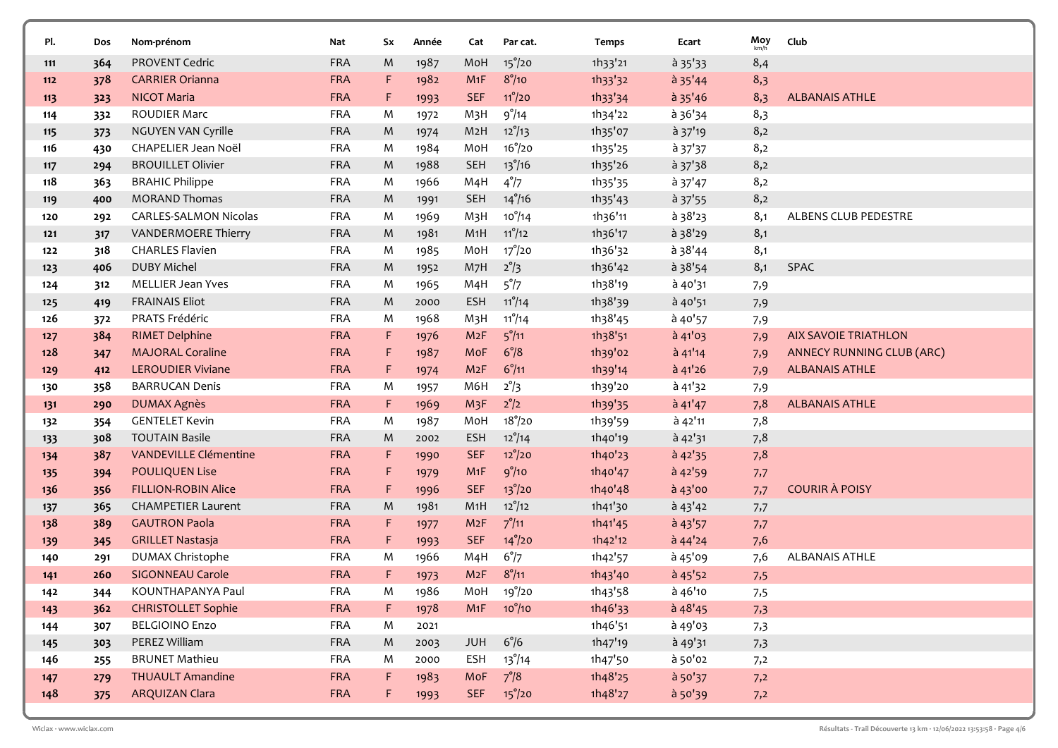| PI.   | Dos | Nom-prénom                             | Nat                      | Sx      | Année | Cat              | Par cat.        | Temps   | Ecart        | Moy<br>km/h | Club                        |
|-------|-----|----------------------------------------|--------------------------|---------|-------|------------------|-----------------|---------|--------------|-------------|-----------------------------|
| 111   | 364 | PROVENT Cedric                         | <b>FRA</b>               | M       | 1987  | MoH              | $15^{\circ}/20$ | 1h33'21 | $a$ 35 $'33$ | 8,4         |                             |
| 112   | 378 | <b>CARRIER Orianna</b>                 | <b>FRA</b>               | F.      | 1982  | M1F              | $8^\circ/10$    | 1h33'32 | $a$ 35'44    | 8,3         |                             |
| 113   | 323 | <b>NICOT Maria</b>                     | <b>FRA</b>               | F       | 1993  | <b>SEF</b>       | $11^{\circ}/20$ | 1h33'34 | $a$ 35'46    | 8,3         | <b>ALBANAIS ATHLE</b>       |
| 114   | 332 | <b>ROUDIER Marc</b>                    | <b>FRA</b>               | M       | 1972  | M <sub>3</sub> H | $9^\circ/14$    | 1h34'22 | à 36'34      | 8,3         |                             |
| 115   | 373 | NGUYEN VAN Cyrille                     | <b>FRA</b>               | M       | 1974  | M <sub>2</sub> H | $12^{\circ}/13$ | 1h35'07 | à 37'19      | 8,2         |                             |
| 116   | 430 | CHAPELIER Jean Noël                    | <b>FRA</b>               | M       | 1984  | MoH              | $16^{\circ}/20$ | 1h35'25 | à 37'37      | 8,2         |                             |
| 117   | 294 | <b>BROUILLET Olivier</b>               | <b>FRA</b>               | M       | 1988  | <b>SEH</b>       | $13^{\circ}/16$ | 1h35'26 | $a$ 37'38    | 8,2         |                             |
| 118   | 363 | <b>BRAHIC Philippe</b>                 | <b>FRA</b>               | M       | 1966  | M4H              | $4^{\circ}/7$   | 1h35'35 | à 37'47      | 8,2         |                             |
| 119   | 400 | <b>MORAND Thomas</b>                   | <b>FRA</b>               | M       | 1991  | <b>SEH</b>       | $14^{\circ}/16$ | 1h35'43 | à 37'55      | 8,2         |                             |
| 120   | 292 | <b>CARLES-SALMON Nicolas</b>           | <b>FRA</b>               | M       | 1969  | M <sub>3</sub> H | $10^{o}/14$     | 1h36'11 | à 38'23      | 8,1         | ALBENS CLUB PEDESTRE        |
| 121   | 317 | VANDERMOERE Thierry                    | <b>FRA</b>               | M       | 1981  | M1H              | $11^{\circ}/12$ | 1h36'17 | à 38'29      | 8,1         |                             |
| 122   | 318 | <b>CHARLES Flavien</b>                 | <b>FRA</b>               | M       | 1985  | MoH              | $17^{\circ}/20$ | 1h36'32 | $a$ 38'44    | 8,1         |                             |
| 123   | 406 | <b>DUBY Michel</b>                     | <b>FRA</b>               | M       | 1952  | M7H              | $2^{\circ}/3$   | 1h36'42 | $a$ 38'54    | 8,1         | SPAC                        |
| 124   | 312 | <b>MELLIER Jean Yves</b>               | <b>FRA</b>               | M       | 1965  | M <sub>4</sub> H | 5°/7            | 1h38'19 | à 40'31      | 7,9         |                             |
| 125   | 419 | <b>FRAINAIS Eliot</b>                  | <b>FRA</b>               | M       | 2000  | <b>ESH</b>       | $11^{\circ}/14$ | 1h38'39 | à 40'51      | 7,9         |                             |
| 126   | 372 | PRATS Frédéric                         | <b>FRA</b>               | M       | 1968  | M <sub>3</sub> H | $11^{\circ}/14$ | 1h38'45 | à 40'57      | 7,9         |                             |
| $127$ | 384 | <b>RIMET Delphine</b>                  | <b>FRA</b>               | F       | 1976  | M2F              | $5^{\circ}/11$  | 1h38'51 | à 41'03      | 7,9         | <b>AIX SAVOIE TRIATHLON</b> |
| 128   | 347 | <b>MAJORAL Coraline</b>                | <b>FRA</b>               | F       | 1987  | MoF              | $6^{\circ}/8$   | 1h39'02 | $a$ 41'14    | 7,9         | ANNECY RUNNING CLUB (ARC)   |
| 129   | 412 | <b>LEROUDIER Viviane</b>               | <b>FRA</b>               | F.      | 1974  | M2F              | $6^{\circ}/11$  | 1h39'14 | à 41'26      | 7,9         | <b>ALBANAIS ATHLE</b>       |
| 130   | 358 | <b>BARRUCAN Denis</b>                  | <b>FRA</b>               | M       | 1957  | M6H              | $2^{\circ}/3$   | 1h39'20 | à 41'32      | 7,9         |                             |
| 131   | 290 | <b>DUMAX Agnès</b>                     | <b>FRA</b>               | F.      | 1969  | M <sub>3</sub> F | $2^{\circ}/2$   | 1h39'35 | $a$ 41'47    | 7,8         | <b>ALBANAIS ATHLE</b>       |
| 132   | 354 | <b>GENTELET Kevin</b>                  | <b>FRA</b>               | M       | 1987  | MoH              | $18^{\circ}/20$ | 1h39'59 | à 42'11      | 7,8         |                             |
| 133   | 308 | <b>TOUTAIN Basile</b>                  | <b>FRA</b>               | M       | 2002  | <b>ESH</b>       | $12^{\circ}/14$ | 1h40'19 | à 42'31      | 7,8         |                             |
| 134   | 387 | <b>VANDEVILLE Clémentine</b>           | <b>FRA</b>               | F.      | 1990  | <b>SEF</b>       | $12^{\circ}/20$ | 1h40'23 | $a$ 42'35    | 7,8         |                             |
| 135   | 394 | <b>POULIQUEN Lise</b>                  | <b>FRA</b>               | F.      | 1979  | M <sub>1</sub> F | 9°/10           | 1h40'47 | $a$ 42'59    | 7,7         |                             |
| 136   | 356 | <b>FILLION-ROBIN Alice</b>             | <b>FRA</b>               | F       | 1996  | <b>SEF</b>       | $13^{\circ}/20$ | 1h40'48 | $a$ 43'00    | 7,7         | <b>COURIR À POISY</b>       |
| 137   | 365 | <b>CHAMPETIER Laurent</b>              | <b>FRA</b>               | M       | 1981  | M1H              | $12^{\circ}/12$ | 1h41'30 | $a^{43'42}$  | 7,7         |                             |
| 138   | 389 | <b>GAUTRON Paola</b>                   | <b>FRA</b>               | F.      | 1977  | M2F              | $7^{\circ}/11$  | 1h41'45 | $a$ 43'57    | 7,7         |                             |
| 139   | 345 | <b>GRILLET Nastasja</b>                | <b>FRA</b>               | F.      | 1993  | <b>SEF</b>       | $14^{\circ}/20$ | 1h42'12 | $a$ 44'24    | 7,6         |                             |
| 140   | 291 | DUMAX Christophe                       | <b>FRA</b>               | M       | 1966  | M4H              | $6^{\circ}/7$   | 1h42'57 | à 45'09      | 7,6         | <b>ALBANAIS ATHLE</b>       |
| 141   | 260 | <b>SIGONNEAU Carole</b>                | <b>FRA</b>               | F.      | 1973  | M2F              | $8^{\circ}/11$  | 1h43'40 | à 45'52      | 7,5         |                             |
| 142   | 344 | KOUNTHAPANYA Paul                      | FRA                      | M       | 1986  |                  | MoH 19°/20      | 1h43'58 | à 46'10      | 7,5         |                             |
| 143   | 362 | <b>CHRISTOLLET Sophie</b>              | <b>FRA</b>               | F.      | 1978  | M1F              | $10^{\circ}/10$ | 1h46'33 | $a$ 48'45    | 7,3         |                             |
| 144   | 307 | <b>BELGIOINO Enzo</b>                  | FRA                      | M       | 2021  |                  |                 | 1h46'51 | à 49'03      | 7,3         |                             |
| 145   | 303 | PEREZ William<br><b>BRUNET Mathieu</b> | FRA                      | M       | 2003  | JUH              | $6^{\circ}/6$   | 1h47'19 | à 49'31      | 7,3         |                             |
| 146   | 255 | <b>THUAULT Amandine</b>                | <b>FRA</b><br><b>FRA</b> | M<br>F. | 2000  | ESH<br>MoF       | $13^{\circ}/14$ | 1h47'50 | à 50'02      | 7,2         |                             |
| 147   | 279 | <b>ARQUIZAN Clara</b>                  |                          |         | 1983  |                  | $7^{\circ}/8$   | 1h48'25 | à 50'37      | 7,2         |                             |
| 148   | 375 |                                        | <b>FRA</b>               | F,      | 1993  | <b>SEF</b>       | $15^{\circ}/20$ | 1h48'27 | à 50'39      | 7,2         |                             |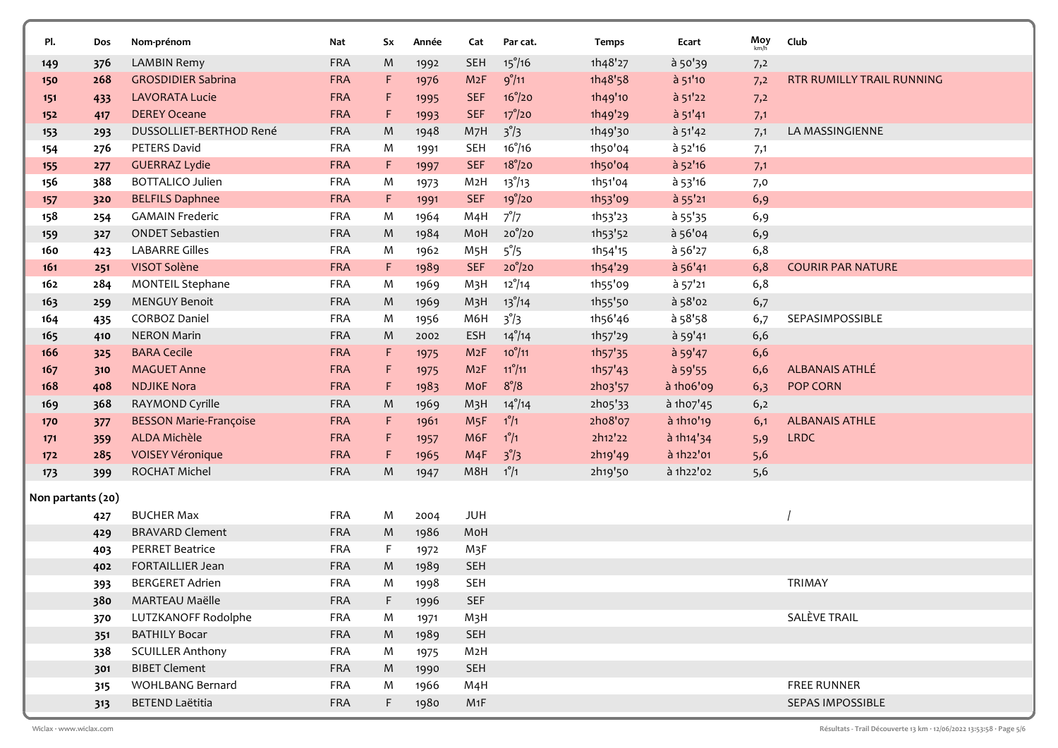| PI.               | Dos | Nom-prénom                    | Nat        | Sx          | Année | Cat              | Par cat.        | Temps                | Ecart     | $Moy$ <sub>km/h</sub> | Club                             |
|-------------------|-----|-------------------------------|------------|-------------|-------|------------------|-----------------|----------------------|-----------|-----------------------|----------------------------------|
| 149               | 376 | <b>LAMBIN Remy</b>            | <b>FRA</b> | M           | 1992  | <b>SEH</b>       | $15^{\circ}/16$ | 1h48'27              | à 50'39   | 7,2                   |                                  |
| 150               | 268 | <b>GROSDIDIER Sabrina</b>     | <b>FRA</b> | F           | 1976  | M2F              | $9^\circ/11$    | 1h48'58              | à 51'10   | 7,2                   | <b>RTR RUMILLY TRAIL RUNNING</b> |
| 151               | 433 | <b>LAVORATA Lucie</b>         | <b>FRA</b> | F           | 1995  | <b>SEF</b>       | $16^{\circ}/20$ | 1h49'10              | à 51'22   | 7,2                   |                                  |
| 152               | 417 | <b>DEREY Oceane</b>           | <b>FRA</b> | F           | 1993  | <b>SEF</b>       | $17^\circ/20$   | 1h49'29              | à 51'41   | 7,1                   |                                  |
| 153               | 293 | DUSSOLLIET-BERTHOD René       | <b>FRA</b> | M           | 1948  | M7H              | $3^{\circ}/3$   | 1h49'30              | $a$ 51'42 | 7,1                   | LA MASSINGIENNE                  |
| 154               | 276 | PETERS David                  | <b>FRA</b> | M           | 1991  | <b>SEH</b>       | $16^{\circ}/16$ | 1h50'04              | à 52'16   | 7,1                   |                                  |
| 155               | 277 | <b>GUERRAZ Lydie</b>          | <b>FRA</b> | F           | 1997  | <b>SEF</b>       | $18^{\circ}/20$ | 1h50'04              | à 52'16   | 7,1                   |                                  |
| 156               | 388 | <b>BOTTALICO Julien</b>       | <b>FRA</b> | M           | 1973  | M2H              | $13^{\circ}/13$ | 1h51'04              | à 53'16   | 7,0                   |                                  |
| 157               | 320 | <b>BELFILS Daphnee</b>        | <b>FRA</b> | F           | 1991  | <b>SEF</b>       | 19°/20          | 1h53'09              | à 55'21   | 6,9                   |                                  |
| 158               | 254 | <b>GAMAIN Frederic</b>        | <b>FRA</b> | M           | 1964  | M4H              | $7^{\circ}/7$   | 1h53'23              | à 55'35   | 6,9                   |                                  |
| 159               | 327 | <b>ONDET Sebastien</b>        | <b>FRA</b> | M           | 1984  | MoH              | $20^{\circ}/20$ | 1h53'52              | à 56'04   | 6,9                   |                                  |
| 160               | 423 | <b>LABARRE Gilles</b>         | <b>FRA</b> | M           | 1962  | M <sub>5</sub> H | $5^{\circ}/5$   | 1h54'15              | à 56'27   | 6,8                   |                                  |
| 161               | 251 | VISOT Solène                  | <b>FRA</b> | $\mathsf F$ | 1989  | <b>SEF</b>       | $20^{\circ}/20$ | 1h54'29              | $a$ 56'41 | 6,8                   | <b>COURIR PAR NATURE</b>         |
| 162               | 284 | <b>MONTEIL Stephane</b>       | <b>FRA</b> | M           | 1969  | M <sub>3</sub> H | $12^{\circ}/14$ | 1h55'09              | à 57'21   | 6,8                   |                                  |
| 163               | 259 | <b>MENGUY Benoit</b>          | <b>FRA</b> | M           | 1969  | M <sub>3</sub> H | $13^{\circ}/14$ | 1h55'50              | à 58'02   | 6,7                   |                                  |
| 164               | 435 | <b>CORBOZ Daniel</b>          | <b>FRA</b> | M           | 1956  | M6H              | $3^{\circ}/3$   | 1h56'46              | à 58'58   | 6,7                   | SEPASIMPOSSIBLE                  |
| 165               | 410 | <b>NERON Marin</b>            | <b>FRA</b> | M           | 2002  | <b>ESH</b>       | $14^{\circ}/14$ | 1h57'29              | à 59'41   | 6,6                   |                                  |
| 166               | 325 | <b>BARA Cecile</b>            | <b>FRA</b> | F           | 1975  | M2F              | $10^{\circ}/11$ | 1h <sub>57</sub> '35 | à 59'47   | 6,6                   |                                  |
| 167               | 310 | <b>MAGUET Anne</b>            | <b>FRA</b> | F           | 1975  | M2F              | $11^{\circ}/11$ | 1h57'43              | à 59'55   | 6,6                   | ALBANAIS ATHLÉ                   |
| 168               | 408 | <b>NDJIKE Nora</b>            | <b>FRA</b> | F.          | 1983  | MoF              | $8^{\circ}/8$   | 2h03'57              | à 1h06'09 | 6,3                   | POP CORN                         |
| 169               | 368 | RAYMOND Cyrille               | <b>FRA</b> | M           | 1969  | M <sub>3</sub> H | $14^{\circ}/14$ | 2h05'33              | à 1ho7'45 | 6,2                   |                                  |
| 170               | 377 | <b>BESSON Marie-Françoise</b> | <b>FRA</b> | F           | 1961  | M <sub>5</sub> F | $1^{\circ}/1$   | 2ho8'07              | à 1h10'19 | 6,1                   | <b>ALBANAIS ATHLE</b>            |
| 171               | 359 | ALDA Michèle                  | <b>FRA</b> | F           | 1957  | M6F              | $1^{\circ}/1$   | 2h12'22              | à 1h14'34 | 5,9                   | <b>LRDC</b>                      |
| 172               | 285 | <b>VOISEY Véronique</b>       | <b>FRA</b> | F           | 1965  | M4F              | $3^{\circ}/3$   | 2h19'49              | à 1h22'01 | 5,6                   |                                  |
| 173               | 399 | ROCHAT Michel                 | <b>FRA</b> | M           | 1947  | M8H              | $1^{\circ}/1$   | 2h19'50              | à 1h22'02 | 5,6                   |                                  |
| Non partants (20) |     |                               |            |             |       |                  |                 |                      |           |                       |                                  |
|                   | 427 | <b>BUCHER Max</b>             | <b>FRA</b> | M           | 2004  | <b>JUH</b>       |                 |                      |           |                       |                                  |
|                   | 429 | <b>BRAVARD Clement</b>        | FRA        | M           | 1986  | MoH              |                 |                      |           |                       |                                  |
|                   | 403 | <b>PERRET Beatrice</b>        | <b>FRA</b> | F           | 1972  | M3F              |                 |                      |           |                       |                                  |
|                   | 402 | FORTAILLIER Jean              | <b>FRA</b> | M           | 1989  | <b>SEH</b>       |                 |                      |           |                       |                                  |
|                   | 393 | <b>BERGERET Adrien</b>        | FRA        | M           | 1998  | <b>SEH</b>       |                 |                      |           |                       | TRIMAY                           |
|                   | 380 | MARTEAU Maëlle                | FRA        | F           | 1996  | <b>SEF</b>       |                 |                      |           |                       |                                  |
|                   | 370 | LUTZKANOFF Rodolphe           | <b>FRA</b> | M           | 1971  | M3H              |                 |                      |           |                       | SALÈVE TRAIL                     |
|                   | 351 | <b>BATHILY Bocar</b>          | <b>FRA</b> | M           | 1989  | SEH              |                 |                      |           |                       |                                  |
|                   | 338 | <b>SCUILLER Anthony</b>       | <b>FRA</b> | M           | 1975  | M <sub>2</sub> H |                 |                      |           |                       |                                  |
|                   | 301 | <b>BIBET Clement</b>          | FRA        | M           | 1990  | SEH              |                 |                      |           |                       |                                  |
|                   | 315 | WOHLBANG Bernard              | <b>FRA</b> | M           | 1966  | M4H              |                 |                      |           |                       | <b>FREE RUNNER</b>               |
|                   | 313 | <b>BETEND Laëtitia</b>        | <b>FRA</b> | F.          | 1980  | M1F              |                 |                      |           |                       | SEPAS IMPOSSIBLE                 |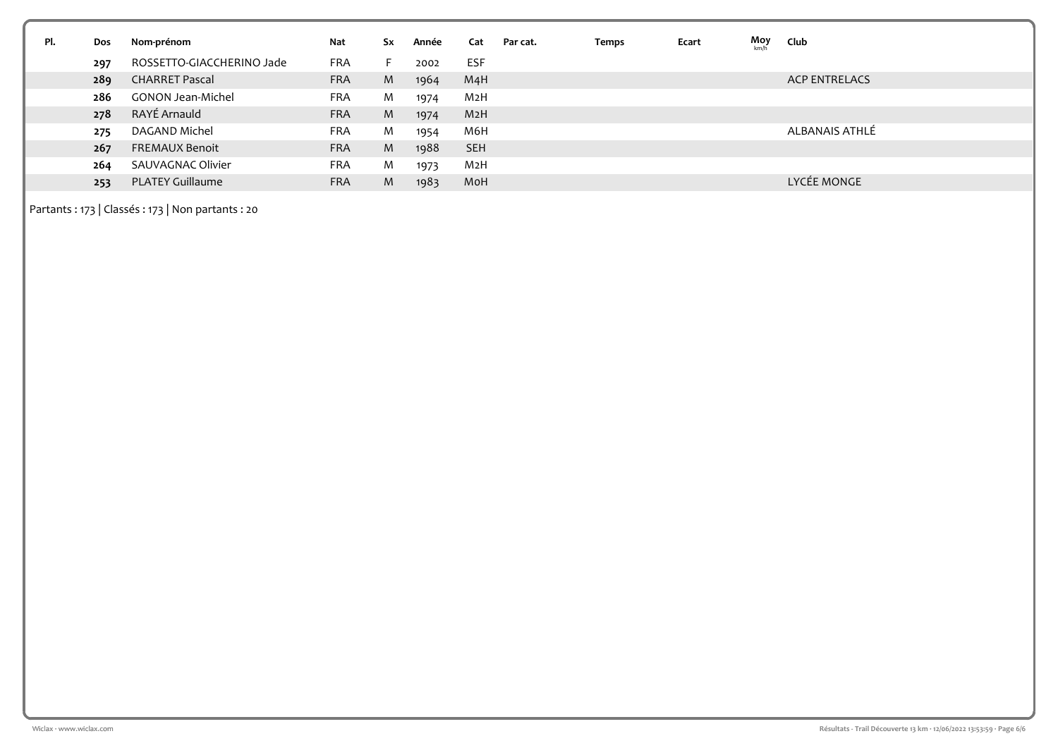| PI. | Dos | Nom-prénom                | Nat        | Sx | Année | Cat        | Par cat. | Temps | Ecart | Moy<br>km/l | Club                 |
|-----|-----|---------------------------|------------|----|-------|------------|----------|-------|-------|-------------|----------------------|
|     | 297 | ROSSETTO-GIACCHERINO Jade | <b>FRA</b> | F. | 2002  | <b>ESF</b> |          |       |       |             |                      |
|     | 289 | <b>CHARRET Pascal</b>     | <b>FRA</b> | M  | 1964  | M4H        |          |       |       |             | <b>ACP ENTRELACS</b> |
|     | 286 | <b>GONON Jean-Michel</b>  | <b>FRA</b> | M  | 1974  | M2H        |          |       |       |             |                      |
|     | 278 | RAYÉ Arnauld              | <b>FRA</b> | M  | 1974  | M2H        |          |       |       |             |                      |
|     | 275 | DAGAND Michel             | <b>FRA</b> | M  | 1954  | M6H        |          |       |       |             | ALBANAIS ATHLÉ       |
|     | 267 | <b>FREMAUX Benoit</b>     | <b>FRA</b> | M  | 1988  | <b>SEH</b> |          |       |       |             |                      |
|     | 264 | SAUVAGNAC Olivier         | <b>FRA</b> | M  | 1973  | M2H        |          |       |       |             |                      |
|     | 253 | <b>PLATEY Guillaume</b>   | <b>FRA</b> | M  | 1983  | MoH        |          |       |       |             | LYCÉE MONGE          |

Partants : 173 | Classés : 173 | Non partants : 20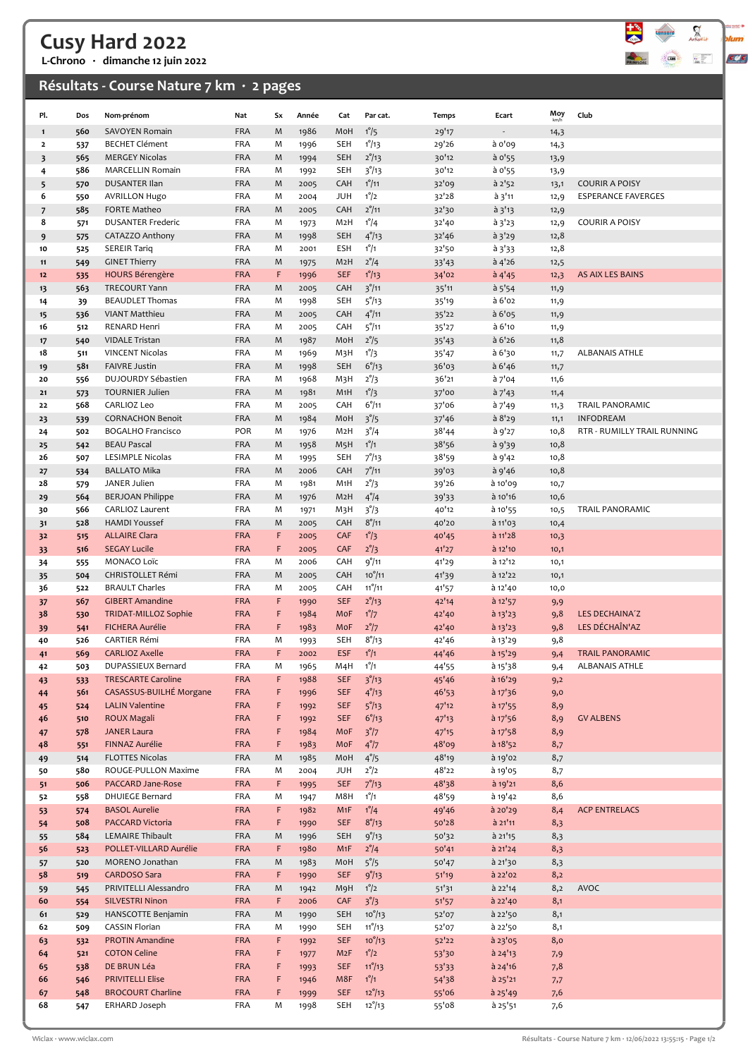## Cusy Hard 2022

L-Chrono · dimanche 12 juin 2022

### Résultats - Course Nature 7 km · 2 pages



|                         |            |                                                 |                          |        |              |                          |                                  |                |                          | Moy          |                             |
|-------------------------|------------|-------------------------------------------------|--------------------------|--------|--------------|--------------------------|----------------------------------|----------------|--------------------------|--------------|-----------------------------|
| Pl.                     | Dos        | Nom-prénom                                      | Nat                      | Sx     | Année        | Cat                      | Par cat.                         | Temps          | Ecart                    | km/h         | Club                        |
| $\mathbf{1}$            | 560        | SAVOYEN Romain                                  | <b>FRA</b>               | M      | 1986         | MoH                      | $1^{\circ}/5$                    | 29'17          | $\overline{\phantom{a}}$ | 14,3         |                             |
| $\overline{\mathbf{2}}$ | 537        | <b>BECHET Clément</b><br><b>MERGEY Nicolas</b>  | <b>FRA</b><br><b>FRA</b> | M<br>M | 1996         | <b>SEH</b>               | $1^{\circ}/13$                   | 29'26          | à o'og                   | 14,3         |                             |
| 3<br>4                  | 565<br>586 | <b>MARCELLIN Romain</b>                         | FRA                      | M      | 1994<br>1992 | <b>SEH</b><br><b>SEH</b> | $2^{\circ}/13$<br>$3^{\circ}/13$ | 30'12<br>30'12 | $a$ o'55<br>à 0'55       | 13,9         |                             |
| 5                       | 570        | <b>DUSANTER Ilan</b>                            | <b>FRA</b>               | M      | 2005         | CAH                      | $1^{\circ}/11$                   | 32'09          | à 2'52                   | 13,9<br>13,1 | <b>COURIR A POISY</b>       |
| 6                       | 550        | <b>AVRILLON Hugo</b>                            | <b>FRA</b>               | M      | 2004         | <b>JUH</b>               | $1^{\circ}/2$                    | 32'28          | à 3'11                   | 12,9         | <b>ESPERANCE FAVERGES</b>   |
| $\overline{7}$          | 585        | <b>FORTE Matheo</b>                             | <b>FRA</b>               | M      | 2005         | CAH                      | $2^{\circ}/11$                   | 32'30          | $a$ 3'13                 | 12,9         |                             |
| 8                       | 571        | <b>DUSANTER Frederic</b>                        | <b>FRA</b>               | M      | 1973         | M <sub>2</sub> H         | $1^{\circ}/4$                    | 32'40          | à 3'23                   | 12,9         | <b>COURIR A POISY</b>       |
| 9                       | 575        | CATAZZO Anthony                                 | <b>FRA</b>               | M      | 1998         | <b>SEH</b>               | $4^{\circ}/13$                   | 32'46          | $a_{3'29}$               | 12,8         |                             |
| 10                      | 525        | <b>SEREIR Tariq</b>                             | <b>FRA</b>               | M      | 2001         | <b>ESH</b>               | $1^{\circ}/1$                    | 32'50          | $a_{3'33}$               | 12,8         |                             |
| 11                      | 549        | <b>GINET Thierry</b>                            | <b>FRA</b>               | M      | 1975         | M <sub>2</sub> H         | $2^\circ/4$                      | 33'43          | $a$ 4'26                 | 12,5         |                             |
| 12                      | 535        | <b>HOURS Bérengère</b>                          | <b>FRA</b>               | F      | 1996         | <b>SEF</b>               | $1^{\circ}/13$                   | 34'02          | $a$ 4'45                 | 12,3         | AS AIX LES BAINS            |
| 13                      | 563        | TRECOURT Yann                                   | <b>FRA</b>               | M      | 2005         | CAH                      | 3 <sup>°</sup> /11               | 35'11          | a 5'54                   | 11,9         |                             |
| 14                      | 39         | <b>BEAUDLET Thomas</b>                          | FRA                      | M      | 1998         | SEH                      | 5°/13                            | 35'19          | à 6'02                   | 11,9         |                             |
| 15                      | 536        | <b>VIANT Matthieu</b>                           | <b>FRA</b>               | M      | 2005         | CAH                      | $4^{\circ}/11$                   | 35'22          | $a$ 6'05                 | 11,9         |                             |
| 16                      | 512        | RENARD Henri                                    | <b>FRA</b>               | M      | 2005         | CAH                      | $5^{\circ}/11$                   | 35'27          | à 6'10                   | 11,9         |                             |
| 17                      | 540        | <b>VIDALE Tristan</b>                           | <b>FRA</b>               | M      | 1987         | MoH                      | $2^{\circ}/5$                    | 35'43          | $a$ 6'26                 | 11,8         |                             |
| 18                      | 511<br>581 | <b>VINCENT Nicolas</b><br><b>FAIVRE Justin</b>  | <b>FRA</b><br><b>FRA</b> | M<br>M | 1969         | M3H<br><b>SEH</b>        | $1^{\circ}/3$                    | 35'47          | à 6'30                   | 11,7         | <b>ALBANAIS ATHLE</b>       |
| 19<br>20                | 556        | DUJOURDY Sébastien                              | <b>FRA</b>               | M      | 1998<br>1968 | M3H                      | $6^{\circ}/13$<br>$2^\circ/3$    | 36'03<br>36'21 | a 6' 46<br>à 7'04        | 11,7<br>11,6 |                             |
| 21                      | 573        | <b>TOURNIER Julien</b>                          | <b>FRA</b>               | M      | 1981         | M1H                      | $1^{\circ}/3$                    | 37'00          | $a$ 7'43                 | 11,4         |                             |
| 22                      | 568        | CARLIOZ Leo                                     | <b>FRA</b>               | M      | 2005         | CAH                      | $6^{\circ}/11$                   | 37'06          | à 7'49                   | 11,3         | TRAIL PANORAMIC             |
| 23                      | 539        | <b>CORNACHON Benoit</b>                         | <b>FRA</b>               | M      | 1984         | MoH                      | $3^{\circ}/5$                    | 37'46          | à 8'29                   | 11,1         | <b>INFODREAM</b>            |
| 24                      | 502        | <b>BOGALHO Francisco</b>                        | POR                      | M      | 1976         | M2H                      | $3^{\circ}/4$                    | 38'44          | à 9'27                   | 10,8         | RTR - RUMILLY TRAIL RUNNING |
| 25                      | 542        | <b>BEAU Pascal</b>                              | <b>FRA</b>               | M      | 1958         | M <sub>5</sub> H         | $1^\circ/1$                      | 38'56          | à 9'39                   | 10,8         |                             |
| 26                      | 507        | LESIMPLE Nicolas                                | <b>FRA</b>               | M      | 1995         | <b>SEH</b>               | $7^{\circ}/13$                   | 38'59          | à 9'42                   | 10,8         |                             |
| 27                      | 534        | <b>BALLATO Mika</b>                             | <b>FRA</b>               | M      | 2006         | CAH                      | $7^{\circ}/11$                   | 39'03          | à 9'46                   | 10,8         |                             |
| 28                      | 579        | JANER Julien                                    | FRA                      | M      | 1981         | M <sub>1</sub> H         | $2^{\circ}/3$                    | 39'26          | à 10'09                  | 10,7         |                             |
| 29                      | 564        | <b>BERJOAN Philippe</b>                         | <b>FRA</b>               | M      | 1976         | M <sub>2</sub> H         | $4^{\circ}/4$                    | 39'33          | à 10'16                  | 10,6         |                             |
| 30                      | 566        | <b>CARLIOZ Laurent</b>                          | <b>FRA</b>               | M      | 1971         | М3Н                      | $3^{\circ}/3$                    | 40'12          | à 10'55                  | 10,5         | TRAIL PANORAMIC             |
| 31                      | 528        | <b>HAMDI Youssef</b>                            | <b>FRA</b>               | M      | 2005         | CAH                      | $8^{\circ}/11$                   | 40'20          | à 11'03                  | 10,4         |                             |
| 32                      | 515        | <b>ALLAIRE Clara</b><br><b>SEGAY Lucile</b>     | <b>FRA</b><br><b>FRA</b> | F<br>F | 2005         | CAF<br>CAF               | $1^{\circ}/3$                    | 40'45          | à 11'28                  | 10,3         |                             |
| 33<br>34                | 516<br>555 | MONACO Loïc                                     | <b>FRA</b>               | M      | 2005<br>2006 | CAH                      | $2^{\circ}/3$<br>9°/11           | 41'27<br>41'29 | $a$ 12'10<br>à 12'12     | 10,1<br>10,1 |                             |
| 35                      | 504        | <b>CHRISTOLLET Rémi</b>                         | <b>FRA</b>               | M      | 2005         | CAH                      | $10^{\circ}/11$                  | 41'39          | à 12'22                  | 10,1         |                             |
| 36                      | 522        | <b>BRAULT Charles</b>                           | <b>FRA</b>               | M      | 2005         | CAH                      | $11^{\circ}/11$                  | 41'57          | à 12'40                  | 10,0         |                             |
| 37                      | 567        | <b>GIBERT Amandine</b>                          | <b>FRA</b>               | F      | 1990         | <b>SEF</b>               | $2^{\circ}/13$                   | 42'14          | $\hat{a}$ 12'57          | 9,9          |                             |
| 38                      | 530        | <b>TRIDAT-MILLOZ Sophie</b>                     | <b>FRA</b>               | F      | 1984         | MoF                      | $1^{\circ}/7$                    | 42'40          | $a$ 13'23                | 9,8          | LES DECHAINA'Z              |
| 39                      | 541        | <b>FICHERA Aurélie</b>                          | <b>FRA</b>               | F      | 1983         | MoF                      | $2^{\circ}/7$                    | 42'40          | $a_{13}'_{23}$           | 9,8          | LES DÉCHAÎN'AZ              |
| 40                      | 526        | <b>CARTIER Rémi</b>                             | <b>FRA</b>               | M      | 1993         | <b>SEH</b>               | $8^{\circ}/13$                   | 42'46          | à 13'29                  | 9,8          |                             |
| 41                      | 569        | <b>CARLIOZ Axelle</b>                           | <b>FRA</b>               | F      | 2002         | <b>ESF</b>               | $1^\circ/1$                      | 44'46          | $a$ 15'29                | 9,4          | <b>TRAIL PANORAMIC</b>      |
| 42                      | 503        | DUPASSIEUX Bernard                              | FRA                      | M      | 1965         | M4H                      | $1^{\circ}/1$                    | 44'55          | à 15'38                  | 9,4          | ALBANAIS ATHLE              |
| 43                      | 533        | <b>TRESCARTE Caroline</b>                       | <b>FRA</b>               | F      | 1988         | <b>SEF</b>               | 3 <sup>°</sup> /13               | 45'46          | à 16'29                  | 9,2          |                             |
| 44                      | 561        | CASASSUS-BUILHÉ Morgane                         | <b>FRA</b>               | F      | 1996         | <b>SEF</b>               | $4^{\circ}/13$                   | 46'53          | $a$ 17'36                | 9,0          |                             |
| 45                      | 524        | <b>LALIN Valentine</b>                          | <b>FRA</b>               | F      | 1992         | <b>SEF</b>               | $5^{\circ}/13$                   | 47'12          | $a$ 17'55                | 8,9          |                             |
| 46                      | 510<br>578 | ROUX Magali<br><b>JANER Laura</b>               | <b>FRA</b><br><b>FRA</b> | F<br>F | 1992<br>1984 | <b>SEF</b><br>MoF        | 6°/13<br>$3^{\circ}/7$           | 47'13<br>47'15 | $a$ 17'56<br>$a$ 17'58   | 8,9<br>8,9   | <b>GV ALBENS</b>            |
| 47<br>48                | 551        | FINNAZ Aurélie                                  | <b>FRA</b>               | F      | 1983         | MoF                      | $4^{\circ}/7$                    | 48'09          | $a$ 18'52                | 8,7          |                             |
| 49                      | 514        | FLOTTES Nicolas                                 | <b>FRA</b>               | M      | 1985         | MoH                      | $4^{\circ}/5$                    | 48'19          | à 19'02                  | 8,7          |                             |
| 50                      | 580        | ROUGE-PULLON Maxime                             | FRA                      | M      | 2004         | JUH                      | $2^{\circ}/2$                    | 48'22          | à 19'05                  | 8,7          |                             |
| 51                      | 506        | PACCARD Jane-Rose                               | <b>FRA</b>               | F      | 1995         | <b>SEF</b>               | $7^{\circ}/13$                   | 48'38          | à 19'21                  | 8,6          |                             |
| 52                      | 558        | <b>DHUIEGE Bernard</b>                          | FRA                      | M      | 1947         | M8H                      | $1^{\circ}/1$                    | 48'59          | $a$ 19'42                | 8,6          |                             |
| 53                      | 574        | <b>BASOL Aurelie</b>                            | <b>FRA</b>               | F      | 1982         | M1F                      | $1^{\circ}/4$                    | 49'46          | à 20'29                  | 8,4          | <b>ACP ENTRELACS</b>        |
| 54                      | 508        | PACCARD Victoria                                | <b>FRA</b>               | F      | 1990         | <b>SEF</b>               | $8^{\circ}/13$                   | 50'28          | à 21'11                  | 8,3          |                             |
| 55                      | 584        | LEMAIRE Thibault                                | <b>FRA</b>               | M      | 1996         | <b>SEH</b>               | $9^{\circ}/13$                   | 50'32          | à 21'15                  | 8,3          |                             |
| 56                      | 523        | POLLET-VILLARD Aurélie                          | <b>FRA</b>               | F      | 1980         | M <sub>1</sub> F         | $2^{\circ}/4$                    | 50'41          | $a$ 21'24                | 8,3          |                             |
| 57                      | 520        | MORENO Jonathan                                 | <b>FRA</b>               | M      | 1983         | MoH                      | $5^{\circ}/5$                    | 50'47          | à 21'30                  | 8,3          |                             |
| 58                      | 519        | <b>CARDOSO Sara</b>                             | <b>FRA</b>               | F      | 1990         | <b>SEF</b>               | 9°/13                            | 51'19          | à 22'02                  | 8,2          |                             |
| 59<br>60                | 545        | PRIVITELLI Alessandro<br><b>SILVESTRI Ninon</b> | <b>FRA</b><br><b>FRA</b> | M<br>F | 1942<br>2006 | <b>M9H</b><br>CAF        | $1^{\circ}/2$<br>$3^{\circ}/3$   | 51'31<br>51'57 | à 22'14<br>$a$ 22'40     | 8,2<br>8,1   | AVOC                        |
| 61                      | 554<br>529 | HANSCOTTE Benjamin                              | <b>FRA</b>               | M      | 1990         | <b>SEH</b>               | $10^{o}/13$                      | 52'07          | à 22'50                  | 8,1          |                             |
| 62                      | 509        | <b>CASSIN Florian</b>                           | FRA                      | M      | 1990         | <b>SEH</b>               | $11^{\circ}/13$                  | 52'07          | à 22'50                  | 8,1          |                             |
| 63                      | 532        | <b>PROTIN Amandine</b>                          | <b>FRA</b>               | F      | 1992         | <b>SEF</b>               | $10^{9}/13$                      | 52'22          | $a$ 23'05                | 8,0          |                             |
| 64                      | 521        | <b>COTON Celine</b>                             | <b>FRA</b>               | F      | 1977         | M2F                      | $1^{\circ}/2$                    | 53'30          | à 24'13                  | 7,9          |                             |
| 65                      | 538        | DE BRUN Léa                                     | <b>FRA</b>               | F      | 1993         | <b>SEF</b>               | $11^{\circ}/13$                  | 53'33          | $a$ 24'16                | 7,8          |                             |
| 66                      | 546        | <b>PRIVITELLI Elise</b>                         | <b>FRA</b>               | F      | 1946         | M8F                      | $1^{\circ}/1$                    | 54'38          | $a$ 25 $'$ 21            | 7,7          |                             |
| 67                      | 548        | <b>BROCOURT Charline</b>                        | <b>FRA</b>               | F      | 1999         | <b>SEF</b>               | $12^{\circ}/13$                  | 55'06          | à 25'49                  | 7,6          |                             |
| 68                      | 547        | ERHARD Joseph                                   | <b>FRA</b>               | M      | 1998         | SEH                      | $12^{\circ}/13$                  | 55'08          | à 25'51                  | 7,6          |                             |